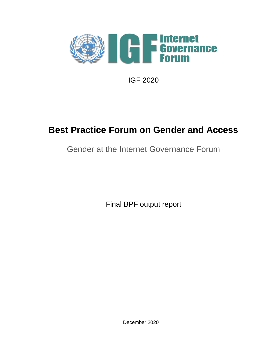

IGF 2020

# **Best Practice Forum on Gender and Access**

## Gender at the Internet Governance Forum

Final BPF output report

December 2020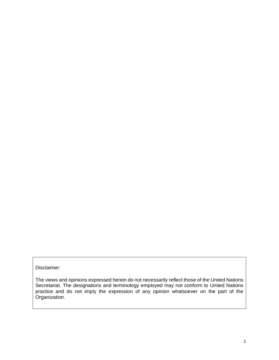#### Disclaimer:

The views and opinions expressed herein do not necessarily reflect those of the United Nations Secretariat. The designations and terminology employed may not conform to United Nations practice and do not imply the expression of any opinion whatsoever on the part of the Organization.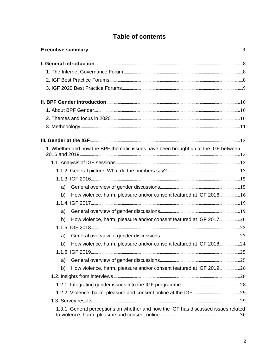## **Table of contents**

| 1. Whether and how the BPF thematic issues have been brought up at the IGF between |  |
|------------------------------------------------------------------------------------|--|
|                                                                                    |  |
|                                                                                    |  |
|                                                                                    |  |
| a)                                                                                 |  |
| How violence, harm, pleasure and/or consent featured at IGF 2016 16<br>b)          |  |
|                                                                                    |  |
| a)                                                                                 |  |
| How violence, harm, pleasure and/or consent featured at IGF 201720<br>b)           |  |
|                                                                                    |  |
| a)                                                                                 |  |
| How violence, harm, pleasure and/or consent featured at IGF 201824<br>b)           |  |
|                                                                                    |  |
| a)                                                                                 |  |
| How violence, harm, pleasure and/or consent featured at IGF 201926<br>b)           |  |
|                                                                                    |  |
|                                                                                    |  |
|                                                                                    |  |
|                                                                                    |  |
| 1.3.1. General perceptions on whether and how the IGF has discussed issues related |  |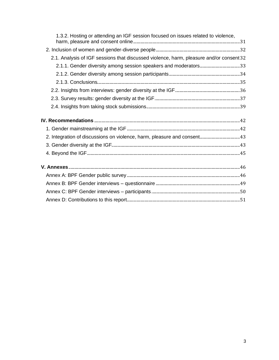| 1.3.2. Hosting or attending an IGF session focused on issues related to violence,       |  |
|-----------------------------------------------------------------------------------------|--|
|                                                                                         |  |
| 2.1. Analysis of IGF sessions that discussed violence, harm, pleasure and/or consent 32 |  |
|                                                                                         |  |
|                                                                                         |  |
|                                                                                         |  |
|                                                                                         |  |
|                                                                                         |  |
|                                                                                         |  |
|                                                                                         |  |
|                                                                                         |  |
|                                                                                         |  |
|                                                                                         |  |
|                                                                                         |  |
|                                                                                         |  |
|                                                                                         |  |
|                                                                                         |  |
|                                                                                         |  |
|                                                                                         |  |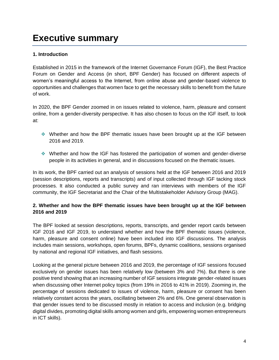# <span id="page-4-0"></span>**Executive summary**

#### **1. Introduction**

Established in 2015 in the framework of the Internet Governance Forum (IGF), the Best Practice Forum on Gender and Access (in short, BPF Gender) has focused on different aspects of women's meaningful access to the Internet, from online abuse and gender-based violence to opportunities and challenges that women face to get the necessary skills to benefit from the future of work.

In 2020, the BPF Gender zoomed in on issues related to violence, harm, pleasure and consent online, from a gender-diversity perspective. It has also chosen to focus on the IGF itself, to look at:

- ❖ Whether and how the BPF thematic issues have been brought up at the IGF between 2016 and 2019.
- ❖ Whether and how the IGF has fostered the participation of women and gender-diverse people in its activities in general, and in discussions focused on the thematic issues.

In its work, the BPF carried out an analysis of sessions held at the IGF between 2016 and 2019 (session descriptions, reports and transcripts) and of input collected through IGF tacking stock processes. It also conducted a public survey and ran interviews with members of the IGF community, the IGF Secretariat and the Chair of the Multistakeholder Advisory Group (MAG).

#### **2. Whether and how the BPF thematic issues have been brought up at the IGF between 2016 and 2019**

The BPF looked at session descriptions, reports, transcripts, and gender report cards between IGF 2016 and IGF 2019, to understand whether and how the BPF thematic issues (violence, harm, pleasure and consent online) have been included into IGF discussions. The analysis includes main sessions, workshops, open forums, BPFs, dynamic coalitions, sessions organised by national and regional IGF initiatives, and flash sessions.

Looking at the general picture between 2016 and 2019, the percentage of IGF sessions focused exclusively on gender issues has been relatively low (between 3% and 7%). But there is one positive trend showing that an increasing number of IGF sessions integrate gender-related issues when discussing other Internet policy topics (from 19% in 2016 to 41% in 2019). Zooming in, the percentage of sessions dedicated to issues of violence, harm, pleasure or consent has been relatively constant across the years, oscillating between 2% and 6%. One general observation is that gender issues tend to be discussed mostly in relation to access and inclusion (e.g. bridging digital divides, promoting digital skills among women and girls, empowering women entrepreneurs in ICT skills).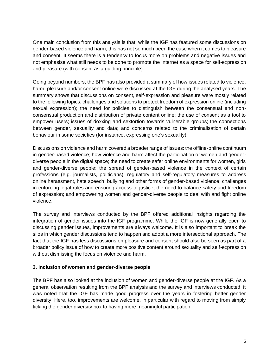One main conclusion from this analysis is that, while the IGF has featured some discussions on gender-based violence and harm, this has not so much been the case when it comes to pleasure and consent. It seems there is a tendency to focus more on problems and negative issues and not emphasise what still needs to be done to promote the Internet as a space for self-expression and pleasure (with consent as a guiding principle).

Going beyond numbers, the BPF has also provided a summary of how issues related to violence, harm, pleasure and/or consent online were discussed at the IGF during the analysed years. The summary shows that discussions on consent, self-expression and pleasure were mostly related to the following topics: challenges and solutions to protect freedom of expression online (including sexual expression); the need for policies to distinguish between the consensual and nonconsensual production and distribution of private content online; the use of consent as a tool to empower users; issues of doxxing and sextortion towards vulnerable groups; the connections between gender, sexuality and data; and concerns related to the criminalisation of certain behaviour in some societies (for instance, expressing one's sexuality).

Discussions on violence and harm covered a broader range of issues: the offline-online continuum in gender-based violence; how violence and harm affect the participation of women and genderdiverse people in the digital space; the need to create safer online environments for women, girls and gender-diverse people; the spread of gender-based violence in the context of certain professions (e.g. journalists, politicians); regulatory and self-regulatory measures to address online harassment, hate speech, bullying and other forms of gender-based violence; challenges in enforcing legal rules and ensuring access to justice; the need to balance safety and freedom of expression; and empowering women and gender-diverse people to deal with and fight online violence.

The survey and interviews conducted by the BPF offered additional insights regarding the integration of gender issues into the IGF programme. While the IGF is now generally open to discussing gender issues, improvements are always welcome. It is also important to break the silos in which gender discussions tend to happen and adopt a more intersectional approach. The fact that the IGF has less discussions on pleasure and consent should also be seen as part of a broader policy issue of how to create more positive content around sexuality and self-expression without dismissing the focus on violence and harm.

#### **3. Inclusion of women and gender-diverse people**

The BPF has also looked at the inclusion of women and gender-diverse people at the IGF. As a general observation resulting from the BPF analysis and the survey and interviews conducted, it was noted that the IGF has made good progress over the years in fostering better gender diversity. Here, too, improvements are welcome, in particular with regard to moving from simply ticking the gender diversity box to having more meaningful participation.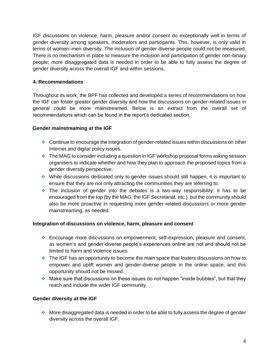IGF discussions on violence, harm, pleasure and/or consent do exceptionally well in terms of gender diversity among speakers, moderators and participants. This, however, is only valid in terms of women–men diversity. The inclusion of gender-diverse people could not be measured. There is no mechanism in place to measure the inclusion and participation of gender non-binary people; more disaggregated data is needed in order to be able to fully assess the degree of gender diversity across the overall IGF and within sessions.

#### **4. Recommendations**

Throughout its work, the BPF has collected and developed a series of recommendations on how the IGF can foster greater gender diversity and how the discussions on gender-related issues in general could be more mainstreamed. Below is an extract from the overall set of recommendations which can be found in the report's dedicated section.

#### **Gender mainstreaming at the IGF**

- ❖ Continue to encourage the integration of gender-related issues within discussions on other Internet and digital policy issues.
- ❖ The MAG to consider including a question in IGF workshop proposal forms asking session organisers to indicate whether and how they plan to approach the proposed topics from a gender diversity perspective.
- ❖ While discussions dedicated only to gender issues should still happen, it is important to ensure that they are not only attracting the communities they are referring to.
- ❖ The inclusion of gender into the debates is a two-way responsibility: it has to be encouraged from the top (by the MAG, the IGF Secretariat, etc.), but the community should also be more proactive in requesting more gender-related discussions or more gender mainstreaming, as needed.

#### **Integration of discussions on violence, harm, pleasure and consent**

- ❖ Encourage more discussions on empowerment, self-expression, pleasure and consent, as women's and gender-diverse people's experiences online are not and should not be limited to harm and violence issues.
- ❖ The IGF has an opportunity to become the main space that fosters discussions on how to empower and uplift women and gender-diverse people in the online space, and this opportunity should not be missed.
- ❖ Make sure that discussions on these issues do not happen "inside bubbles", but that they reach and include the wider IGF community.

#### **Gender diversity at the IGF**

❖ More disaggregated data is needed in order to be able to fully assess the degree of gender diversity across the overall IGF.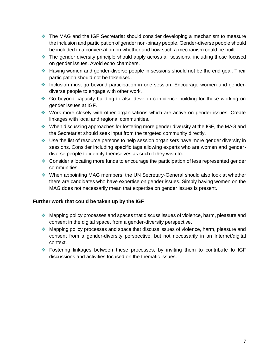- ❖ The MAG and the IGF Secretariat should consider developing a mechanism to measure the inclusion and participation of gender non-binary people. Gender-diverse people should be included in a conversation on whether and how such a mechanism could be built.
- ❖ The gender diversity principle should apply across all sessions, including those focused on gender issues. Avoid echo chambers.
- ❖ Having women and gender-diverse people in sessions should not be the end goal. Their participation should not be tokenised.
- ❖ Inclusion must go beyond participation in one session. Encourage women and genderdiverse people to engage with other work.
- ❖ Go beyond capacity building to also develop confidence building for those working on gender issues at IGF.
- ❖ Work more closely with other organisations which are active on gender issues. Create linkages with local and regional communities.
- ❖ When discussing approaches for fostering more gender diversity at the IGF, the MAG and the Secretariat should seek input from the targeted community directly.
- ❖ Use the list of resource persons to help session organisers have more gender diversity in sessions. Consider including specific tags allowing experts who are women and genderdiverse people to identify themselves as such if they wish to.
- ❖ Consider allocating more funds to encourage the participation of less represented gender communities.
- ❖ When appointing MAG members, the UN Secretary-General should also look at whether there are candidates who have expertise on gender issues. Simply having women on the MAG does not necessarily mean that expertise on gender issues is present.

#### **Further work that could be taken up by the IGF**

- ❖ Mapping policy processes and spaces that discuss issues of violence, harm, pleasure and consent in the digital space, from a gender-diversity perspective.
- ❖ Mapping policy processes and space that discuss issues of violence, harm, pleasure and consent from a gender-diversity perspective, but not necessarily in an Internet/digital context.
- ❖ Fostering linkages between these processes, by inviting them to contribute to IGF discussions and activities focused on the thematic issues.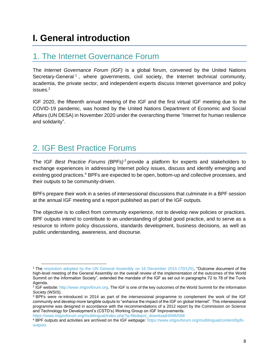# <span id="page-8-0"></span>**I. General introduction**

## <span id="page-8-1"></span>1. The Internet Governance Forum

The *Internet Governance Forum (IGF)* is a global forum, convened by the United Nations Secretary-General<sup>1</sup>, where governments, civil society, the Internet technical community, academia, the private sector, and independent experts discuss Internet governance and policy issues.<sup>2</sup>

IGF 2020, the fifteenth annual meeting of the IGF and the first virtual IGF meeting due to the COVID-19 pandemic, was hosted by the United Nations Department of Economic and Social Affairs (UN DESA) in November 2020 under the overarching theme "Internet for human resilience and solidarity".

## <span id="page-8-2"></span>2. IGF Best Practice Forums

The IGF *Best Practice Forums (BPFs) <sup>3</sup>* provide a platform for experts and stakeholders to exchange experiences in addressing Internet policy issues, discuss and identify emerging and existing good practices.<sup>4</sup> BPFs are expected to be open, bottom-up and collective processes, and their outputs to be community-driven.

BPFs prepare their work in a series of intersessional discussions that culminate in a BPF session at the annual IGF meeting and a report published as part of the IGF outputs.

The objective is to collect from community experience, not to develop new policies or practices. BPF outputs intend to contribute to an understanding of global good practice, and to serve as a resource to inform policy discussions, standards development, business decisions, as well as public understanding, awareness, and discourse.

[https://www.intgovforum.org/multilingual/index.php?q=filedepot\\_download/4586/588](https://www.intgovforum.org/multilingual/index.php?q=filedepot_download/4586/588)

<sup>&</sup>lt;sup>1</sup> The [resolution adopted by the UN General Assembly on 16 December 2015 \(70/125\),](https://unctad.org/en/PublicationsLibrary/ares70d125_en.pdf) "Outcome document of the high-level meeting of the General Assembly on the overall review of the implementation of the outcomes of the World Summit on the Information Society", extended the mandate of the IGF as set out in paragraphs 72 to 78 of the Tunis Agenda.

<sup>&</sup>lt;sup>2</sup> IGF website: http://www.intgovforum.org. The IGF is one of the key outcomes of the World Summit for the Information Society (WSIS).

<sup>&</sup>lt;sup>3</sup> BPFs were re-introduced in 2014 as part of the intersessional programme to complement the work of the IGF community and develop more tangible outputs to "enhance the impact of the IGF on global Internet". This intersessional programme was designed in accordance with the recommendations of a 2012 report by the Commission on Science and Technology for Development's (CSTD's) Working Group on IGF Improvements.

<sup>4</sup> BPF outputs and activities are archived on the IGF webpage: [https://www.intgovforum.org/multilingual/content/bpfs](https://www.intgovforum.org/multilingual/content/bpfs-outputs)[outputs](https://www.intgovforum.org/multilingual/content/bpfs-outputs)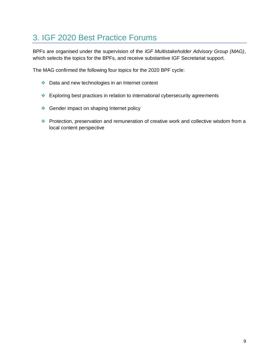## <span id="page-9-0"></span>3. IGF 2020 Best Practice Forums

BPFs are organised under the supervision of the *IGF Multistakeholder Advisory Group (MAG)*, which selects the topics for the BPFs, and receive substantive IGF Secretariat support.

The MAG confirmed the following four topics for the 2020 BPF cycle:

- ❖ Data and new technologies in an Internet context
- ❖ Exploring best practices in relation to international cybersecurity agreements
- ❖ Gender impact on shaping Internet policy
- ❖ Protection, preservation and remuneration of creative work and collective wisdom from a local content perspective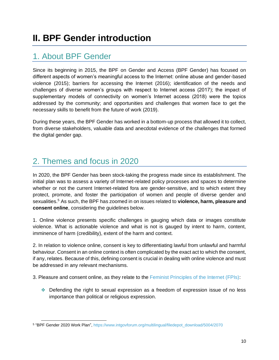## <span id="page-10-1"></span><span id="page-10-0"></span>1. About BPF Gender

Since its beginning in 2015, the BPF on Gender and Access (BPF Gender) has focused on different aspects of women's meaningful access to the Internet: online abuse and gender-based violence (2015); barriers for accessing the Internet (2016); identification of the needs and challenges of diverse women's groups with respect to Internet access (2017); the impact of supplementary models of connectivity on women's Internet access (2018) were the topics addressed by the community; and opportunities and challenges that women face to get the necessary skills to benefit from the future of work (2019).

During these years, the BPF Gender has worked in a bottom-up process that allowed it to collect, from diverse stakeholders, valuable data and anecdotal evidence of the challenges that formed the digital gender gap.

## <span id="page-10-2"></span>2. Themes and focus in 2020

In 2020, the BPF Gender has been stock-taking the progress made since its establishment. The initial plan was to assess a variety of Internet-related policy processes and spaces to determine whether or not the current Internet-related fora are gender-sensitive, and to which extent they protect, promote, and foster the participation of women and people of diverse gender and sexualities.<sup>5</sup> As such, the BPF has zoomed in on issues related to **violence, harm, pleasure and consent online**, considering the guidelines below.

1. Online violence presents specific challenges in gauging which data or images constitute violence. What is actionable violence and what is not is gauged by intent to harm, content, imminence of harm (credibility), extent of the harm and context.

2. In relation to violence online, consent is key to differentiating lawful from unlawful and harmful behaviour. Consent in an online context is often complicated by the exact act to which the consent, if any, relates. Because of this, defining consent is crucial in dealing with online violence and must be addressed in any relevant mechanisms.

3. Pleasure and consent online, as they relate to the [Feminist Principles of the Internet \(FPIs\):](https://feministinternet.org/en/principles)

❖ Defending the right to sexual expression as a freedom of expression issue of no less importance than political or religious expression.

<sup>&</sup>lt;sup>5</sup> "BPF Gender 2020 Work Plan", [https://www.intgovforum.org/multilingual/filedepot\\_download/5004/2070](https://www.intgovforum.org/multilingual/filedepot_download/5004/2070)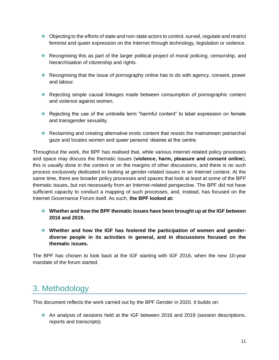- ❖ Objecting to the efforts of state and non-state actors to control, surveil, regulate and restrict feminist and queer expression on the Internet through technology, legislation or violence.
- ❖ Recognising this as part of the larger political project of moral policing, censorship, and hierarchisation of citizenship and rights.
- ❖ Recognising that the issue of pornography online has to do with agency, consent, power and labour.
- ❖ Rejecting simple causal linkages made between consumption of pornographic content and violence against women.
- ❖ Rejecting the use of the umbrella term "harmful content" to label expression on female and transgender sexuality.
- ❖ Reclaiming and creating alternative erotic content that resists the mainstream patriarchal gaze and locates women and queer persons' desires at the centre.

Throughout the work, the BPF has realised that, while various Internet-related policy processes and space may discuss the thematic issues (**violence, harm, pleasure and consent online**), this is usually done in the context or on the margins of other discussions, and there is no such process exclusively dedicated to looking at gender-related issues in an Internet context. At the same time, there are broader policy processes and spaces that look at least at some of the BPF thematic issues, but not necessarily from an Internet-related perspective. The BPF did not have sufficient capacity to conduct a mapping of such processes, and, instead, has focused on the Internet Governance Forum itself. As such, **the BPF looked at:**

- ❖ **Whether and how the BPF thematic issues have been brought up at the IGF between 2016 and 2019.**
- ❖ **Whether and how the IGF has fostered the participation of women and genderdiverse people in its activities in general, and in discussions focused on the thematic issues.**

The BPF has chosen to look back at the IGF starting with IGF 2016, when the new 10-year mandate of the forum started.

## <span id="page-11-0"></span>3. Methodology

This document reflects the work carried out by the BPF Gender in 2020. It builds on:

❖ An analysis of sessions held at the IGF between 2016 and 2019 (session descriptions, reports and transcripts)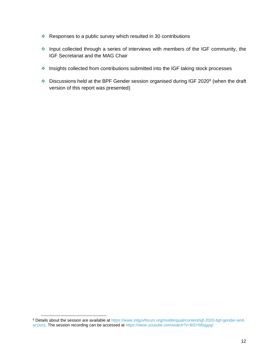- ❖ Responses to a public survey which resulted in 30 contributions
- ❖ Input collected through a series of interviews with members of the IGF community, the IGF Secretariat and the MAG Chair
- ❖ Insights collected from contributions submitted into the IGF taking stock processes
- $\bullet$  Discussions held at the BPF Gender session organised during IGF 2020 $^6$  (when the draft version of this report was presented)

<sup>6</sup> Details about the session are available at [https://www.intgovforum.org/multilingual/content/igf-2020-bpf-gender-and](https://www.intgovforum.org/multilingual/content/igf-2020-bpf-gender-and-access)[access.](https://www.intgovforum.org/multilingual/content/igf-2020-bpf-gender-and-access) The session recording can be accessed at <https://www.youtube.com/watch?v=BSYMlsjgygI>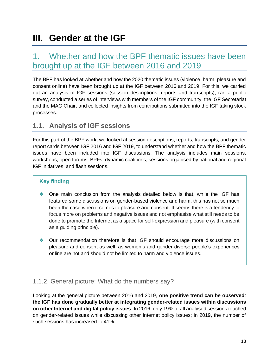# <span id="page-13-0"></span>**III. Gender at the IGF**

## <span id="page-13-1"></span>1. Whether and how the BPF thematic issues have been brought up at the IGF between 2016 and 2019

The BPF has looked at whether and how the 2020 thematic issues (violence, harm, pleasure and consent online) have been brought up at the IGF between 2016 and 2019. For this, we carried out an analysis of IGF sessions (session descriptions, reports and transcripts), ran a public survey, conducted a series of interviews with members of the IGF community, the IGF Secretariat and the MAG Chair, and collected insights from contributions submitted into the IGF taking stock processes.

### <span id="page-13-2"></span>**1.1. Analysis of IGF sessions**

For this part of the BPF work, we looked at session descriptions, reports, transcripts, and gender report cards between IGF 2016 and IGF 2019, to understand whether and how the BPF thematic issues have been included into IGF discussions. The analysis includes main sessions, workshops, open forums, BPFs, dynamic coalitions, sessions organised by national and regional IGF initiatives, and flash sessions.

#### **Key finding**

- ❖ One main conclusion from the analysis detailed below is that, while the IGF has featured some discussions on gender-based violence and harm, this has not so much been the case when it comes to pleasure and consent. It seems there is a tendency to focus more on problems and negative issues and not emphasise what still needs to be done to promote the Internet as a space for self-expression and pleasure (with consent as a guiding principle).
- ❖ Our recommendation therefore is that IGF should encourage more discussions on pleasure and consent as well, as women's and gender-diverse people's experiences online are not and should not be limited to harm and violence issues.

### <span id="page-13-3"></span>1.1.2. General picture: What do the numbers say?

Looking at the general picture between 2016 and 2019, **one positive trend can be observed**: **the IGF has done gradually better at integrating gender-related issues within discussions on other Internet and digital policy issues**. In 2016, only 19% of all analysed sessions touched on gender-related issues while discussing other Internet policy issues; in 2019, the number of such sessions has increased to 41%.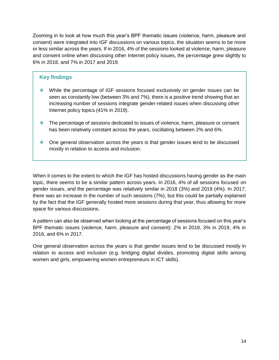Zooming in to look at how much this year's BPF thematic issues (violence, harm, pleasure and consent) were integrated into IGF discussions on various topics, the situation seems to be more or less similar across the years. If in 2016, 4% of the sessions looked at violence, harm, pleasure and consent online when discussing other Internet policy issues, the percentage grew slightly to 6% in 2018, and 7% in 2017 and 2019.

#### **Key findings**

- ❖ While the percentage of IGF sessions focused exclusively on gender issues can be seen as constantly low (between 3% and 7%), there is a positive trend showing that an increasing number of sessions integrate gender-related issues when discussing other Internet policy topics (41% in 2019).
- ❖ The percentage of sessions dedicated to issues of violence, harm, pleasure or consent has been relatively constant across the years, oscillating between 2% and 6%.
- ❖ One general observation across the years is that gender issues tend to be discussed mostly in relation to access and inclusion.

When it comes to the extent to which the IGF has hosted discussions having gender as the main topic, there seems to be a similar pattern across years. In 2016, 4% of all sessions focused on gender issues, and the percentage was relatively similar in 2018 (3%) and 2019 (4%). In 2017, there was an increase in the number of such sessions (7%), but this could be partially explained by the fact that the IGF generally hosted more sessions during that year, thus allowing for more space for various discussions.

A pattern can also be observed when looking at the percentage of sessions focused on this year's BPF thematic issues (violence, harm, pleasure and consent): 2% in 2018, 3% in 2019, 4% in 2016, and 6% in 2017.

One general observation across the years is that gender issues tend to be discussed mostly in relation to access and inclusion (e.g. bridging digital divides, promoting digital skills among women and girls, empowering women entrepreneurs in ICT skills).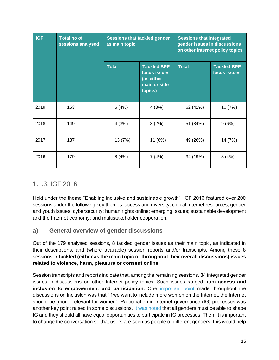| <b>IGF</b> | <b>Total no of</b><br>sessions analysed | <b>Sessions that tackled gender</b><br>as main topic |                                                                             | <b>Sessions that integrated</b><br>gender issues in discussions<br>on other Internet policy topics |                                    |
|------------|-----------------------------------------|------------------------------------------------------|-----------------------------------------------------------------------------|----------------------------------------------------------------------------------------------------|------------------------------------|
|            |                                         | <b>Total</b>                                         | <b>Tackled BPF</b><br>focus issues<br>(as either<br>main or side<br>topics) | <b>Total</b>                                                                                       | <b>Tackled BPF</b><br>focus issues |
| 2019       | 153                                     | 6(4%)                                                | 4(3%)                                                                       | 62 (41%)                                                                                           | 10 (7%)                            |
| 2018       | 149                                     | 4(3%)                                                | 3(2%)                                                                       | 51 (34%)                                                                                           | 9(6%)                              |
| 2017       | 187                                     | 13 (7%)                                              | 11 (6%)                                                                     | 49 (26%)                                                                                           | 14 (7%)                            |
| 2016       | 179                                     | 8(4%)                                                | 7(4%)                                                                       | 34 (19%)                                                                                           | 8(4%)                              |

### <span id="page-15-0"></span>1.1.3. IGF 2016

Held under the theme "Enabling inclusive and sustainable growth", IGF 2016 featured over 200 sessions under the following key themes: access and diversity; critical Internet resources; gender and youth issues; cybersecurity; human rights online; emerging issues; sustainable development and the Internet economy; and multistakeholder cooperation.

#### <span id="page-15-1"></span>**a) General overview of gender discussions**

Out of the 179 analysed sessions, 8 tackled gender issues as their main topic, as indicated in their descriptions, and (where available) session reports and/or transcripts. Among these 8 sessions, **7 tackled (either as the main topic or throughout their overall discussions) issues related to violence, harm, pleasure or consent online**.

Session transcripts and reports indicate that, among the remaining sessions, 34 integrated gender issues in discussions on other Internet policy topics. Such issues ranged from **access and inclusion to empowerment and participation**. One [important point](https://www.intgovforum.org/multilingual/content/igf-2016-day-2-main-hall-sustainable-development-internet-and-inclusive-growth) made throughout the discussions on inclusion was that "if we want to include more women on the Internet, the Internet should be [more] relevant for women". Participation in Internet governance (IG) processes was another key point raised in some discussions. [It was noted](https://www.intgovforum.org/multilingual/content/igf-2016-day-3-main-hall-igf-dynamic-coalitions) that all genders must be able to shape IG and they should all have equal opportunities to participate in IG processes. Then, it is important to change the conversation so that users are seen as people of different genders; this would help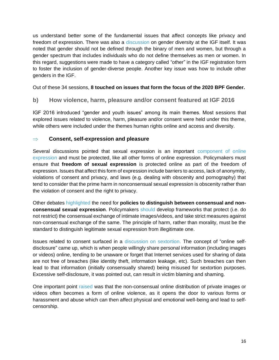us understand better some of the fundamental issues that affect concepts like privacy and freedom of expression. There was also a [discussion](https://www.intgovforum.org/multilingual/content/igf-2016-day-1-room-9-dc-on-gender-and-internet-governance) on gender diversity at the IGF itself. It was noted that gender should not be defined through the binary of men and women, but through a gender spectrum that includes individuals who do not define themselves as men or women. In this regard, suggestions were made to have a category called "other" in the IGF registration form to foster the inclusion of gender-diverse people. Another key issue was how to include other genders in the IGF.

Out of these 34 sessions, **8 touched on issues that form the focus of the 2020 BPF Gender.** 

#### <span id="page-16-0"></span>**b) How violence, harm, pleasure and/or consent featured at IGF 2016**

IGF 2016 introduced "gender and youth issues" among its main themes. Most sessions that explored issues related to violence, harm, pleasure and/or consent were held under this theme, while others were included under the themes human rights online and access and diversity.

#### **Consent, self-expression and pleasure**

Several discussions pointed that sexual expression is an important [component of online](https://www.intgovforum.org/multilingual/content/igf-2016-day-3-room-6-ws164-sex-and-freedom-of-expression-online)  [expression](https://www.intgovforum.org/multilingual/content/igf-2016-day-3-room-6-ws164-sex-and-freedom-of-expression-online) and must be protected, like all other forms of online expression. Policymakers must ensure that **freedom of sexual expression** is protected online as part of the freedom of expression. Issues that affect this form of expression include barriers to access, lack of anonymity, violations of consent and privacy, and laws (e.g. dealing with obscenity and pornography) that tend to consider that the prime harm in nonconsensual sexual expression is obscenity rather than the violation of consent and the right to privacy.

Other debates [highlighted](https://www.intgovforum.org/multilingual/content/igf-2016-day-3-room-6-ws164-sex-and-freedom-of-expression-online) the need for **policies to distinguish between consensual and nonconsensual sexual expression**. Policymakers [should](https://www.intgovforum.org/multilingual/content/igf-2016-day-3-main-hall-igf-dynamic-coalitions) develop frameworks that protect (i.e. do not restrict) the consensual exchange of intimate images/videos, and take strict measures against non-consensual exchange of the same. The principle of harm, rather than morality, must be the standard to distinguish legitimate sexual expression from illegitimate one.

Issues related to consent surfaced in a [discussion on sextortion.](https://www.intgovforum.org/multilingual/content/igf-2016-day-2-room-5-ws146-honey-you-are-so-not-in-control-decrypting-sextortion) The concept of "online selfdisclosure" came up, which is when people willingly share personal information (including images or videos) online, tending to be unaware or forget that Internet services used for sharing of data are not free of breaches (like identity theft, information leakage, etc). Such breaches can then lead to that information (initially consensually shared) being misused for sextortion purposes. Excessive self-disclosure, it was pointed out, can result in victim blaming and shaming.

One important point [raised](https://www.intgovforum.org/multilingual/content/igf-2016-day-2-room-8-workshop-freedom-house) was that the non-consensual online distribution of private images or videos often becomes a form of online violence, as it opens the door to various forms or harassment and abuse which can then affect physical and emotional well-being and lead to selfcensorship.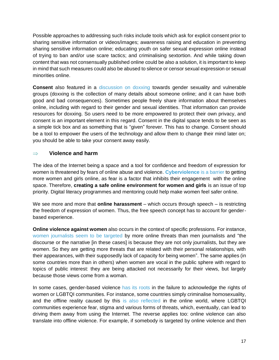Possible approaches to addressing such risks include tools which ask for explicit consent prior to sharing sensitive information or videos/images; awareness raising and education in preventing sharing sensitive information online; educating youth on safer sexual expression online instead of trying to ban and/or use scare tactics; and criminalising sextortion. And while taking down content that was not consensually published online could be also a solution, it is important to keep in mind that such measures could also be abused to silence or censor sexual expression or sexual minorities online.

**Consent** also featured in a [discussion on doxxing](https://www.intgovforum.org/multilingual/content/igf-2016-day-3-room-6-ws127-doxxing-women-privacy-protections-against-gender-violence) towards gender sexuality and vulnerable groups (doxxing is the collection of many details about someone online; and it can have both good and bad consequences). Sometimes people freely share information about themselves online, including with regard to their gender and sexual identities. That information can provide resources for doxxing. So users need to be more empowered to protect their own privacy, and consent is an important element in this regard. Consent in the digital space tends to be seen as a simple tick box and as something that is "given" forever. This has to change. Consent should be a tool to empower the users of the technology and allow them to change their mind later on; you should be able to take your consent away easily.

#### **Violence and harm**

The idea of the Internet being a space and a tool for confidence and freedom of expression for women is threatened by fears of online abuse and violence. **[Cyberviolence](https://www.intgovforum.org/multilingual/content/igf-2016-day-1-room-1-ws15-an-internet-of-women-by-2020-wsis-vision-into-reality)** [is a barrier](https://www.intgovforum.org/multilingual/content/igf-2016-day-1-room-1-ws15-an-internet-of-women-by-2020-wsis-vision-into-reality) to getting more women and girls online, as fear is a factor that inhibits their engagement with the online space. Therefore, **creating a safe online environment for women and girls** is an issue of top priority. Digital literacy programmes and mentoring could help make women feel safer online.

We see more and more that **online harassment** – which occurs through speech – is restricting the freedom of expression of women. Thus, the free speech concept has to account for genderbased experience.

**Online violence against women** also occurs in the context of specific professions. For instance, [women journalists seem to be targeted b](https://www.intgovforum.org/multilingual/content/igf-2016-day-2-room-10-dc-on-internet-rights-and-principles)y more online threats than men journalists and "the discourse or the narrative [in these cases] is because they are not only journalists, but they are women. So they are getting more threats that are related with their personal relationships, with their appearances, with their supposedly lack of capacity for being women". The same applies (in some countries more than in others) when women are vocal in the public sphere with regard to topics of public interest: they are being attacked not necessarily for their views, but largely because those views come from a woman.

In some cases, gender-based violence [has its roots](https://www.intgovforum.org/multilingual/content/igf-2016-day-2-room-8-of27-freedom-online-coalition) in the failure to acknowledge the rights of women or LGBTQI communities. For instance, some countries simply criminalise homosexuality, and the offline reality caused by this [is also reflected i](https://www.intgovforum.org/multilingual/content/igf-2016-day-2-room-8-workshop-freedom-house)n the online world, where LGBTQI communities experience fear, stigma and various forms of threats, which, eventually, can lead to driving them away from using the Internet. The reverse applies too: online violence can also translate into offline violence. For example, if somebody is targeted by online violence and then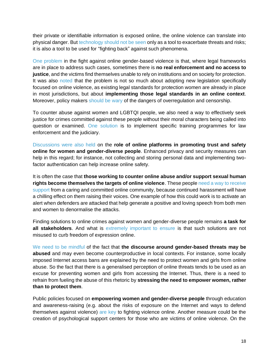their private or identifiable information is exposed online, the online violence can translate into physical danger. But [technology should not be seen o](https://www.intgovforum.org/multilingual/content/igf-2016-day-3-main-hall-human-rights-broadening-the-conversation)nly as a tool to exacerbate threats and risks; it is also a tool to be used for "fighting back" against such phenomena.

[One problem](https://www.intgovforum.org/multilingual/content/igf-2016-day-2-room-8-workshop-freedom-house) in the fight against online gender-based violence is that, where legal frameworks are in place to address such cases, sometimes there is **no real enforcement and no access to justice**, and the victims find themselves unable to rely on institutions and on society for protection. It was also [noted](https://www.intgovforum.org/multilingual/content/igf-2016-day-2-room-8-workshop-freedom-house) that the problem is not so much about adopting new legislation specifically focused on online violence, as existing legal standards for protection women are already in place in most jurisdictions, but about **implementing those legal standards in an online context**. Moreover, policy makers [should be wary o](https://www.intgovforum.org/multilingual/content/igf-2016-day-3-room-6-ws138-solutions-for-countering-online-abuse-against-women)f the dangers of overregulation and censorship.

To counter abuse against women and LGBTQI people, we also need a way to effectively seek justice for crimes committed against these people without their moral characters being called into question or examined. [One solution](https://www.intgovforum.org/multilingual/content/igf-2016-day-3-room-6-ws138-solutions-for-countering-online-abuse-against-women) is to implement specific training programmes for law enforcement and the judiciary.

[Discussions were also held](https://www.intgovforum.org/multilingual/content/igf-2016-day-2-room-8-workshop-freedom-house) on the **role of online platforms in promoting trust and safety online for women and gender-diverse people**. Enhanced privacy and security measures can help in this regard; for instance, not collecting and storing personal data and implementing twofactor authentication can help increase online safety.

It is often the case that **those working to counter online abuse and/or support sexual human rights become themselves the targets of online violence**. These peopl[e need a way to receive](https://www.intgovforum.org/multilingual/content/igf-2016-day-3-room-6-ws138-solutions-for-countering-online-abuse-against-women)  [support](https://www.intgovforum.org/multilingual/content/igf-2016-day-3-room-6-ws138-solutions-for-countering-online-abuse-against-women) from a caring and committed online community, because continued harassment will have a chilling effect on them raising their voices. One example of how this could work is to activate an alert when defenders are attacked that help generate a positive and loving speech from both men and women to denormalise the attacks.

Finding solutions to online crimes against women and gender-diverse people remains **a task for all stakeholders**. And what is [extremely important to ensure](https://www.intgovforum.org/multilingual/content/igf-2016-day-2-room-5-ws216-%C2%A0techwomen-driving-ict-innovation-collaboration-in-casa) is that such solutions are not misused to curb freedom of expression online.

[We need to be mindful](https://www.intgovforum.org/multilingual/content/igf-2016-day-2-room-9-bpf-gender-and-access) of the fact that **the discourse around gender-based threats may be abused** and may even become counterproductive in local contexts. For instance, some locally imposed Internet access bans are explained by the need to protect women and girls from online abuse. So the fact that there is a generalised perception of online threats tends to be used as an excuse for preventing women and girls from accessing the Internet. Thus, there is a need to refrain from fueling the abuse of this rhetoric by **stressing the need to empower women, rather than to protect them**.

Public policies focused on **empowering women and gender-diverse people** through education and awareness-raising (e.g. about the risks of exposure on the Internet and ways to defend themselves against violence) [are key](https://www.intgovforum.org/multilingual/content/igf-2016-day-3-room-6-ws127-doxxing-women-privacy-protections-against-gender-violence) to fighting violence online. Another measure could be the creation of psychological support centers for those who are victims of online violence. On the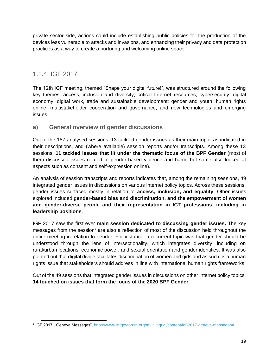private sector side, actions could include establishing public policies for the production of the devices less vulnerable to attacks and invasions, and enhancing their privacy and data protection practices as a way to create a nurturing and welcoming online space.

### <span id="page-19-0"></span>1.1.4. IGF 2017

The 12th IGF meeting, themed "Shape your digital future!", was structured around the following key themes: access, inclusion and diversity; critical Internet resources; cybersecurity; digital economy, digital work, trade and sustainable development; gender and youth; human rights online; multistakeholder cooperation and governance; and new technologies and emerging issues.

#### <span id="page-19-1"></span>**a) General overview of gender discussions**

Out of the 187 analysed sessions, 13 tackled gender issues as their main topic, as indicated in their descriptions, and (where available) session reports and/or transcripts. Among these 13 sessions, **11 tackled issues that fit under the thematic focus of the BPF Gender** (most of them discussed issues related to gender-based violence and harm, but some also looked at aspects such as consent and self-expression online).

An analysis of session transcripts and reports indicates that, among the remaining sessions, 49 integrated gender issues in discussions on various Internet policy topics. Across these sessions, gender issues surfaced mostly in relation to **access, inclusion, and equality**. Other issues explored included g**ender-based bias and discrimination, and the empowerment of women and gender-diverse people and their representation in ICT professions, including in leadership positions**.

IGF 2017 saw the first ever **[main session dedicated to discussing gender issues.](https://www.intgovforum.org/multilingual/content/igf-2017-day-3-room-xvii-plenary-gender-inclusion-the-future-of-the-internet)** The key messages from the session<sup>7</sup> are also a reflection of most of the discussion held throughout the entire meeting in relation to gender. For instance, a recurrent topic was that gender should be understood through the lens of intersectionality, which integrates diversity, including on rural/urban locations, economic power, and sexual orientation and gender identities. It was also pointed out that digital divide facilitates discrimination of women and girls and as such, is a human rights issue that stakeholders should address in line with international human rights frameworks.

Out of the 49 sessions that integrated gender issues in discussions on other Internet policy topics, **14 touched on issues that form the focus of the 2020 BPF Gender.** 

<sup>7</sup> IGF 2017, "Geneva Messages", [https://www.intgovforum.org/multilingual/content/igf-2017-geneva-messages#](https://www.intgovforum.org/multilingual/content/igf-2017-geneva-messages)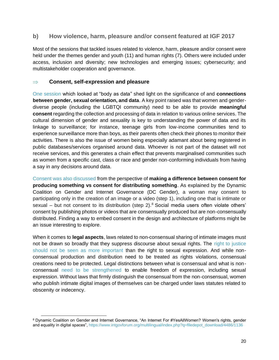#### <span id="page-20-0"></span>**b) How violence, harm, pleasure and/or consent featured at IGF 2017**

Most of the sessions that tackled issues related to violence, harm, pleasure and/or consent were held under the themes gender and youth (11) and human rights (7). Others were included under access, inclusion and diversity; new technologies and emerging issues; cybersecurity; and multistakeholder cooperation and governance.

#### **Consent, self-expression and pleasure**

[One session](https://www.intgovforum.org/multilingual/content/igf-2017-day-1-room-xxv-ws180-ms-body-as-data-dataveillance-the-informatization-of-the-body) which looked at "body as data" shed light on the significance of and **connections between gender, sexual orientation, and data**. A key point raised was that women and genderdiverse people (including the LGBTQI community) need to be able to provide **meaningful consent** regarding the collection and processing of data in relation to various online services. The cultural dimension of gender and sexuality is key to understanding the power of data and its linkage to surveillance; for instance, teenage girls from low-income communities tend to experience surveillance more than boys, as their parents often check their phones to monitor their activities. There is also the issue of women being especially adamant about being registered in public databases/services organised around data. Whoever is not part of the dataset will not receive services, and this generates a chain effect that prevents marginalised communities such as women from a specific cast, class or race and gender non-conforming individuals from having a say in any decisions around data.

[Consent was also discussed](https://www.intgovforum.org/multilingual/content/igf-2017-day-3-room-xvii-dynamic-coalitions-contribute-to-the-digital-future) from the perspective of **making a difference between consent for producing something vs consent for distributing something**. As explained by the Dynamic Coalition on Gender and Internet Governance (DC Gender), a woman may consent to participating only in the creation of an image or a video (step 1), including one that is intimate or sexual – but not consent to its distribution (step 2).<sup>8</sup> Social media users often violate others' consent by publishing photos or videos that are consensually produced but are non-consensually distributed. Finding a way to embed consent in the design and architecture of platforms might be an issue interesting to explore.

When it comes to **legal aspects**, laws related to non-consensual sharing of intimate images must not be drawn so broadly that they suppress discourse about sexual rights. The right to justice [should not be seen as more important](https://www.intgovforum.org/multilingual/content/igf-2017-day-3-room-xvii-plenary-gender-inclusion-the-future-of-the-internet) than the right to sexual expression. And while nonconsensual production and distribution need to be treated as rights violations, consensual creations need to be protected. Legal distinctions between what is consensual and what is nonconsensual [need to be strengthened](https://www.intgovforum.org/multilingual/index.php?q=filedepot_download/4486/1136) to enable freedom of expression, including sexual expression. Without laws that firmly distinguish the consensual from the non-consensual, women who publish intimate digital images of themselves can be charged under laws statutes related to obscenity or indecency.

<sup>8</sup> Dynamic Coalition on Gender and Internet Governance, "An Internet For #YesAllWomen? Women's rights, gender and equality in digital spaces", [https://www.intgovforum.org/multilingual/index.php?q=filedepot\\_download/4486/1136](https://www.intgovforum.org/multilingual/index.php?q=filedepot_download/4486/1136)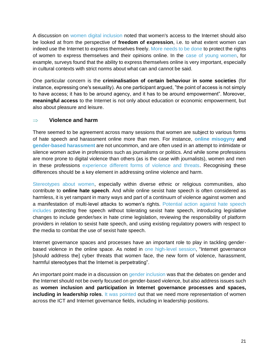A discussion on [women digital inclusion](https://www.intgovforum.org/multilingual/content/igf-2017-day-1-room-xxvi-ws49-digital-inclusion-for-women-scaling-up-our-efforts) noted that women's access to the Internet should also be looked at from the perspective of **freedom of expression**, i.e. to what extent women can indeed use the Internet to express themselves freely. [More needs to be done](https://www.intgovforum.org/multilingual/content/igf-2017-day-2-room-xxii-ws166-combating-online-violence-against-politically-active-women) to protect the rights of women to express themselves and their opinions online. In the [case of young women,](https://www.intgovforum.org/multilingual/content/igf-2017-day-3-room-xxv-bpf-best-practice-forum-on-gender-and-access) for example, surveys found that the ability to express themselves online is very important, especially in cultural contexts with strict norms about what can and cannot be said.

One particular concern is the **criminalisation of certain behaviour in some societies** (for instance, expressing one's sexuality). As one participant argued, "the point of access is not simply to have access; it has to be around agency, and it has to be around empowerment". Moreover, **meaningful access** to the Internet is not only about education or economic empowerment, but also about pleasure and leisure.

#### **Violence and harm**

There seemed to be agreement across many sessions that women are subject to various forms of hate speech and harassment online more than men. For instance, **[online misogyny](https://www.intgovforum.org/multilingual/content/igf-2017-day-1-room-xxiv-internet-rights-and-principles-coalition) and [gender-based harassment](https://www.intgovforum.org/multilingual/content/igf-2017-day-4-room-xxvii-ws154-the-distributed-denial-of-democracy-threats-to-democracy)** are not uncommon, and are often used in an attempt to intimidate or silence women active in professions such as journalisms or politics. And while some professions are more prone to digital violence than others (as is the case with journalists), women and men in these professions [experience different forms of violence and threats.](https://www.intgovforum.org/multilingual/content/igf-2017-day-2-room-xxii-ws184-surveillance-from-the-margins) Recognising these differences should be a key element in addressing online violence and harm.

[Stereotypes about women,](https://www.intgovforum.org/multilingual/content/igf-2017-day-2-room-xii-ws215-selective-persecution-and-the-mob-hate-and-religion-online) especially within diverse ethnic or religious communities, also contribute to **online hate speech**. And while online sexist hate speech is often considered as harmless, it is yet rampant in many ways and part of a continuum of violence against women and a manifestation of multi-level attacks to women's rights. [Potential action against hate speech](https://www.intgovforum.org/multilingual/content/igf-2017-day-3-room-xxvii-dc-gender-and-internet-governance)  [includes](https://www.intgovforum.org/multilingual/content/igf-2017-day-3-room-xxvii-dc-gender-and-internet-governance) protecting free speech without tolerating sexist hate speech, introducing legislative changes to include gender/sex in hate crime legislation, reviewing the responsibility of platform providers in relation to sexist hate speech, and using existing regulatory powers with respect to the media to combat the use of sexist hate speech.

Internet governance spaces and processes have an important role to play in tackling genderbased violence in the online space. As noted in [one high-level session,](https://www.intgovforum.org/multilingual/content/igf-2017-day-1-assembly-hall-high-level-thematic-session-shaping-our-future-digital-global) "Internet governance [should address the] cyber threats that women face, the new form of violence, harassment, harmful stereotypes that the Internet is perpetrating".

An important point made in a discussion on [gender inclusion](https://www.intgovforum.org/multilingual/content/igf-2017-day-1-room-xxvi-of19-seed-alliance-gender-inclusion-towards-great-female-leadership) was that the debates on gender and the Internet should not be overly focused on gender-based violence, but also address issues such as **women inclusion and participation in Internet governance processes and spaces, including in leadership roles**. [It was pointed](https://www.intgovforum.org/multilingual/content/igf-2017-day-3-room-xvii-plenary-gender-inclusion-the-future-of-the-internet) out that we need more representation of women across the ICT and Internet governance fields, including in leadership positions.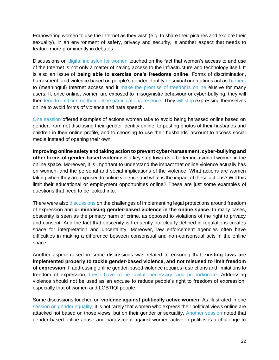Empowering women to use the Internet as they wish (e.g. to share their pictures and explore their sexuality), in an environment of safety, privacy and security, is another aspect that needs to feature more prominently in debates.

Discussions on [digital inclusion for women](https://www.intgovforum.org/multilingual/content/igf-2017-day-1-room-xxvi-ws49-digital-inclusion-for-women-scaling-up-our-efforts) touched on the fact that women's access to and use of the Internet is not only a matter of having access to the infrastructure and technology itself. It is also an issue of **being able to exercise one's freedoms online**. Forms of discrimination, harrasment, and violence based on people's gender identity or sexual orientations act as [barriers](https://www.intgovforum.org/multilingual/content/igf-2017-day-3-room-ix-best-practice-forum-on-cybersecurity) to (meaningful) Internet access and it [make the promise of freedoms online](https://www.intgovforum.org/multilingual/content/igf-2017-day-2-room-xxiv-ws152-online-freedom-for-allno-unfreedom-for-women-how-do-we-solve) elusive for many users. If, once online, women are exposed to misogynistic behaviour or cyber-bullying, they will then [tend to limit or stop their online participation/presence.](https://www.intgovforum.org/multilingual/content/igf-2017-day-4-room-xxiv-ws33-a-look-at-world-trends-in-freedom-of-expression-online) They [will stop](https://www.intgovforum.org/multilingual/content/igf-2017-day-2-room-xxiv-ws152-online-freedom-for-allno-unfreedom-for-women-how-do-we-solve) expressing themselves online to avoid forms of violence and hate speech.

[One session](https://www.intgovforum.org/multilingual/content/igf-2017-day-1-room-xxvii-ws157-what-digital-future-for-vulnerable-people) offered examples of actions women take to avoid being harassed online based on gender, from not disclosing their gender identity online, to posting photos of their husbands and children in their online profile, and to choosing to use their husbands' account to access social media instead of opening their own.

**Improving online safety and taking action to prevent cyber-harassment, cyber-bullying and other forms of gender-based violence** is a key step towards a better inclusion of women in the online space. Moreover, it is important to understand the impact that online violence actually has on women, and the personal and social implications of the violence. What actions are women taking when they are exposed to online violence and what is the impact of these actions? Will this limit their educational or employment opportunities online? These are just some examples of questions that need to be looked into.

There were also [discussions](https://www.intgovforum.org/multilingual/content/igf-2017-day-3-room-ix-ws250-the-dark-side-of-the-internet-policy-how-flawed-policy-can-lead) on the challenges of implementing legal protections around freedom of expression and **criminalising gender-based violence in the online space**. In many cases, obscenity is seen as the primary harm or crime, as opposed to violations of the right to privacy and consent. And the fact that obscenity is frequently not clearly defined in regulations creates space for interpretation and uncertainty. Moreover, law enforcement agencies often have difficulties in making a difference between consensual and non-consensual acts in the online space.

Another aspect raised in some discussions was related to ensuring that e**xisting laws are implemented properly to tackle gender-based violence, and not misused to limit freedom of expression**. If addressing online gender-based violence requires restrictions and limitations to freedom of expression, [these have to be lawful, necessary, and proportionate.](https://www.intgovforum.org/multilingual/content/igf-2017-day-3-room-xvii-plenary-gender-inclusion-the-future-of-the-internet) Addressing violence should not be used as an excuse to reduce people's right to freedom of expression, especially that of women and LGBTIQI people.

Some discussions touched on **violence against politically active women**. As illustrated in one [session on gender equality,](https://www.intgovforum.org/multilingual/content/igf-2017-day-1-room-xxvi-ws57-a-playbook-for-gender-equality-how-to-harness-the-power-of) it is not rarely that women who express their political views online are attacked not based on those views, but on their gender or sexuality. [Another session](https://www.intgovforum.org/multilingual/content/igf-2017-day-2-room-xxii-ws166-combating-online-violence-against-politically-active-women) noted that gender-based online abuse and harassment against women active in politics is a challenge to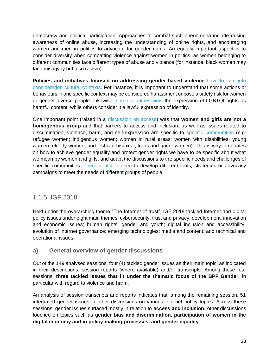democracy and political participation. Approaches to combat such phenomena include raising awareness of online abuse, increasing the understanding of online rights, and encouraging women and men in politics to advocate for gender rights. An equally important aspect is to consider diversity when combatting violence against women in politics, as women belonging to different communities face different types of abuse and violence (for instance, black women may face misogyny but also rasism).

**Policies and initiatives focused on addressing gender-based violence** [have to take into](https://www.intgovforum.org/multilingual/content/igf-2017-day-1-room-xxvii-of37-council-of-europe-intermediaries-shared-commitments-and)  [consideration cultural contexts.](https://www.intgovforum.org/multilingual/content/igf-2017-day-1-room-xxvii-of37-council-of-europe-intermediaries-shared-commitments-and) For instance, it is important to understand that some actions or behaviours in one specific context may be considered harassment or pose a safety risk for women or gender-diverse people. Likewise, [some countries view](https://www.intgovforum.org/multilingual/content/igf-2017-day-2-room-xxv-of80-tackling-violent-extremism-online-new-human-rights-challenges) the expression of LGBTQI rights as harmful content, while others consider it a lawful expression of identity.

One important point (raised in a [discussion on access\)](https://www.intgovforum.org/multilingual/content/igf-2017-day-1-room-xxvii-cenb-iii) was that **women and girls are not a homogenous group** and that barriers to access and inclusion, as well as issues related to discrimination, violence, harm, and self-expression are specific to [specific communities](https://www.intgovforum.org/multilingual/content/igf-2017-day-3-room-xxv-bpf-best-practice-forum-on-gender-and-access) (e.g. refugee women; indigenous women; women in rural areas; women with disabilities; young women; elderly women; and lesbian, bisexual, trans and queer women). This is why in debates on how to achieve gender equality and protect gender rights we have to be specific about what we mean by women and girls, and adapt the discussions to the specific needs and challenges of specific communities. [There is also a need](https://www.intgovforum.org/multilingual/content/igf-2017-day-1-room-xxvii-ws157-what-digital-future-for-vulnerable-people) to develop different tools, strategies or advocacy campaigns to meet the needs of different groups of people.

### <span id="page-23-0"></span>1.1.5. IGF 2018

Held under the overarching theme "The Internet of trust", IGF 2018 tackled Internet and digital policy issues under eight main themes: cybersecurity, trust and privacy; development, innovation and economic issues; human rights, gender and youth; digital inclusion and accessibility; evolution of Internet governance; emerging technologies; media and content; and technical and operational issues.

#### <span id="page-23-1"></span>**a) General overview of gender discussions**

Out of the 149 analysed sessions, four (4) tackled gender issues as their main topic, as indicated in their descriptions, session reports (where available) and/or transcripts. Among these four sessions, **three tackled issues that fit under the thematic focus of the BPF Gender**, in particular with regard to violence and harm.

An analysis of session transcripts and reports indicates that, among the remaining session, 51 integrated gender issues in other discussions on various Internet policy topics. Across these sessions, gender issues surfaced mostly in relation to **access and inclusion;** other discussions touched on topics such as **gender bias and discrimination, participation of women in the digital economy and in policy-making processes, and gender equality**.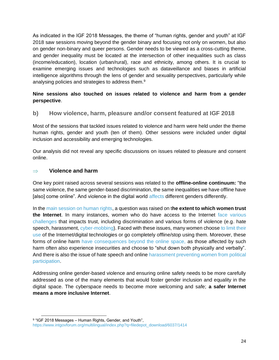As indicated in the IGF 2018 Messages, the theme of "human rights, gender and youth" at IGF 2018 saw sessions moving beyond the gender binary and focusing not only on women, but also on gender non-binary and queer persons. Gender needs to be viewed as a cross-cutting theme, and gender inequality must be located at the intersection of other inequalities such as class (income/education), location (urban/rural), race and ethnicity, among others. It is crucial to examine emerging issues and technologies such as dataveillance and biases in artificial intelligence algorithms through the lens of gender and sexuality perspectives, particularly while analysing policies and strategies to address them.<sup>9</sup>

#### **Nine sessions also touched on issues related to violence and harm from a gender perspective**.

<span id="page-24-0"></span>**b) How violence, harm, pleasure and/or consent featured at IGF 2018**

Most of the sessions that tackled issues related to violence and harm were held under the theme human rights, gender and youth (ten of them). Other sessions were included under digital inclusion and accessibility and emerging technologies.

Our analysis did not reveal any specific discussions on issues related to pleasure and consent online.

#### **Violence and harm**

One key point raised across several sessions was related to the **offline-online continuum:** "the same violence, the same gender-based discrimination, the same inequalities we have offline have [also] come online". And violence in the digital world [affects](https://www.intgovforum.org/multilingual/content/igf-2018-day-2-salle-xi-ws410-preventing-youth-violence-through-icts) different genders differently.

In the [main session on human rights,](https://www.intgovforum.org/multilingual/content/igf-2018-day-2-salle-i-human-rights-gender-and-youth) a question was raised on t**he extent to which women trust the Internet**. In many instances, women who do have access to the Internet [face various](https://www.intgovforum.org/multilingual/content/igf-2018-lightning-session-12-women-empowerment-through-icts)  [challenges](https://www.intgovforum.org/multilingual/content/igf-2018-lightning-session-12-women-empowerment-through-icts) that impacts trust, including discrimination and various forms of violence (e.g. hate speech, harassment, [cyber-mobbing\)](https://www.intgovforum.org/multilingual/content/igf-2018-day-1-salle-iv-ws146-hidden-aspects-of-digital-inclusion). Faced with these issues, many women choose to limit their [use](https://www.intgovforum.org/multilingual/content/igf-2018-day-3-salle-iv-ws182-artificial-intelligence-for-human-rights-and-sdgs) of the Internet/digital technologies or go completely offline/stop using them. Moreover, these forms of online harm [have consequences beyond the online space,](https://www.intgovforum.org/multilingual/content/igf-2018-day-3-salle-iv-ws182-artificial-intelligence-for-human-rights-and-sdgs) as those affected by such harm often also experience insecurities and choose to "shut down both physically and verbally". And there is also the issue of hate speech and online harassment [preventing women from political](https://www.intgovforum.org/multilingual/content/igf-2018-day-1-salle-viii-ws436-gender-issues-and-democratic-participation-reclaiming-icts)  [participation.](https://www.intgovforum.org/multilingual/content/igf-2018-day-1-salle-viii-ws436-gender-issues-and-democratic-participation-reclaiming-icts)

Addressing online gender-based violence and ensuring online safety needs to be more carefully addressed as one of the many elements that would foster gender inclusion and equality in the digital space. The cyberspace needs to become more welcoming and safe; **a safer Internet means a more inclusive Internet**.

<sup>&</sup>lt;sup>9 "</sup>IGF 2018 Messages – Human Rights, Gender, and Youth", [https://www.intgovforum.org/multilingual/index.php?q=filedepot\\_download/6037/1414](https://www.intgovforum.org/multilingual/index.php?q=filedepot_download/6037/1414)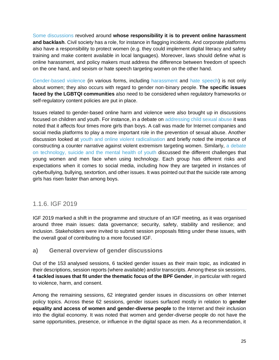[Some discussions](https://www.intgovforum.org/multilingual/content/igf-2018-day-1-salle-viii-ws436-gender-issues-and-democratic-participation-reclaiming-icts) revolved around **whose responsibility it is to prevent online harassment and backlash**. Civil society has a role, for instance in flagging incidents. And corporate platforms also have a responsibility to protect women (e.g. they could implement digital literacy and safety training and make content available in local languages). Moreover, laws should define what is online harassment, and policy makers must address the difference between freedom of speech on the one hand, and sexism or hate speech targeting women on the other hand.

[Gender-based violence](https://www.intgovforum.org/multilingual/content/igf-2018-day-3-salle-viii-dc-on-gender-and-internet-governance) (in various forms, including [harassment](https://www.intgovforum.org/multilingual/content/igf-2018-day-2-salle-xi-ws156-what-does-the-data-say-analyzing-the-gender-digital-divide) and [hate speech\)](https://www.intgovforum.org/multilingual/content/igf-2018-day-3-salle-vii-of31-assessing-hate-speech-and-self-regulation-who-and-how) is not only about women; they also occurs with regard to gender non-binary people. **The specific issues faced by the LGBTQI communities** also need to be considered when regulatory frameworks or self-regulatory content policies are put in place.

Issues related to gender-based online harm and violence were also brought up in discussions focused on children and youth. For instance, in a debate on [addressing child sexual abuse](https://www.intgovforum.org/multilingual/content/igf-2018-lightning-session-15-internet-platforms-sexual-content-and-child-protection) it was noted that it affects four times more girls than boys. A call was made for Internet companies and social media platforms to play a more important role in the prevention of sexual abuse. Another discussion looked at [youth and online violent radicalisation](https://www.intgovforum.org/multilingual/content/igf-2018-day-2-salle-iv-ws185-preventing-youth-from-online-violent-radicalization) and briefly noted the importance of constructing a counter narrative against violent extremism targeting women. Similarly, [a debate](https://www.intgovforum.org/multilingual/content/igf-2018-day-2-salle-xi-ws211-technology-suicide-and-the-mental-health-of-youth)  [on technology, suicide and the mental](https://www.intgovforum.org/multilingual/content/igf-2018-day-2-salle-xi-ws211-technology-suicide-and-the-mental-health-of-youth) health of youth discussed the different challenges that young women and men face when using technology. Each group has different risks and expectations when it comes to social media, including how they are targeted in instances of cyberbullying, bullying, sextortion, and other issues. It was pointed out that the suicide rate among girls has risen faster than among boys.

### <span id="page-25-0"></span>1.1.6. IGF 2019

IGF 2019 marked a shift in the programme and structure of an IGF meeting, as it was organised around three main issues: data governance; security, safety, stability and resilience; and inclusion. Stakeholders were invited to submit session proposals fitting under these issues, with the overall goal of contributing to a more focused IGF.

#### <span id="page-25-1"></span>**a) General overview of gender discussions**

Out of the 153 analysed sessions, 6 tackled gender issues as their main topic, as indicated in their descriptions, session reports (where available) and/or transcripts. Among these six sessions, **4 tackled issues that fit under the thematic focus of the BPF Gender**, in particular with regard to violence, harm, and consent.

Among the remaining sessions, 62 integrated gender issues in discussions on other Internet policy topics. Across these 62 sessions, gender issues surfaced mostly in relation to **gender equality and access of women and gender-diverse people** to the Internet and their inclusion into the digital economy. It was noted that women and gender-diverse people do not have the same opportunities, presence, or influence in the digital space as men. As a recommendation, it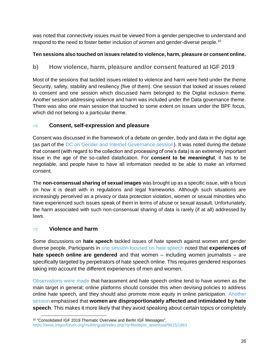was noted that connectivity issues must be viewed from a gender perspective to understand and respond to the need to foster better inclusion of women and gender-diverse people.<sup>10</sup>

#### **Ten sessions also touched on issues related to violence, harm, pleasure or consent online.**

#### <span id="page-26-0"></span>**b) How violence, harm, pleasure and/or consent featured at IGF 2019**

Most of the sessions that tackled issues related to violence and harm were held under the theme Security, safety, stability and resiliency (five of them). One session that looked at issues related to consent and one session which discussed harm belonged to the Digital inclusion theme. Another session addressing violence and harm was included under the Data governance theme. There was also one main session that touched to some extent on issues under the BPF focus, which did not belong to a particular theme.

#### **Consent, self-expression and pleasure**

Consent was discussed in the framework of a debate on gender, body and data in the digital age (as part of the [DC on Gender and Internet Governance session\)](https://www.intgovforum.org/multilingual/content/igf-2019-%E2%80%93-day-3-%E2%80%93-estrel-saal-b-%E2%80%93-dc-gender-and-internet-governance). It was noted during the debate that consent (with regard to the collection and processing of one's data) is an extremely important issue in the age of the so-called datafication. For **consent to be meaningful**, it has to be negotiable, and people have to have all information needed to be able to make an informed consent.

The **non-consensual sharing of sexual images** was brought up as a specific issue, with a focus on how it is dealt with in regulations and legal frameworks. Although such situations are increasingly perceived as a privacy or data protection violation, women or sexual minorities who have experienced such issues speak of them in terms of abuse or sexual assault. Unfortunately, the harm associated with such non-consensual sharing of data is rarely (if at all) addressed by laws.

#### **Violence and harm**

Some discussions on **hate speech** tackled issues of hate speech against women and gender diverse people. Participants in [one session focused on hate speech](https://www.intgovforum.org/multilingual/content/igf-2019-%E2%80%93-day-2-%E2%80%93-saal-europa-%E2%80%93-ws-177-tackling-hate-speech-online-ensuring-human-rights) noted that **experiences of hate speech online are gendered** and that women – including women journalists – are specifically targeted by perpetrators of hate speech online. This requires gendered responses taking into account the different experiences of men and women.

[Observations were made](https://www.intgovforum.org/multilingual/content/igf-2019-%E2%80%93-day-2-%E2%80%93-estrel-saal-b-%E2%80%93-dc-on-platform-responsibility) that harassment and hate speech online tend to have women as the main target in general; online platforms should consider this when devising policies to address online hate speech, and they should also promote more equity in online participation. [Another](https://www.intgovforum.org/multilingual/content/igf-2019-%E2%80%93-day-3-%E2%80%93-raum-v-%E2%80%93-ws-150-tackling-hate-speech-a-multi-stakeholder-responsibility)  [session](https://www.intgovforum.org/multilingual/content/igf-2019-%E2%80%93-day-3-%E2%80%93-raum-v-%E2%80%93-ws-150-tackling-hate-speech-a-multi-stakeholder-responsibility) emphasised that **women are disproportionately affected and intimidated by hate speech**. This makes it more likely that they avoid speaking about certain topics or completely

<sup>&</sup>lt;sup>10</sup> "Consolidated IGF 2019 Thematic Overview and Berlin IGF Messages", [https://www.intgovforum.org/multilingual/index.php?q=filedepot\\_download/9615/1963](https://www.intgovforum.org/multilingual/index.php?q=filedepot_download/9615/1963)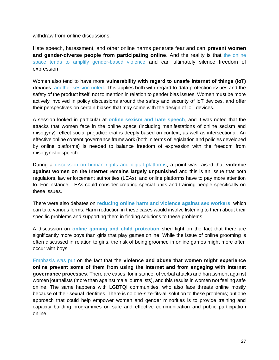withdraw from online discussions.

Hate speech, harassment, and other online harms generate fear and can **prevent women and gender-diverse people from participating online**. And the reality is that [the online](https://www.intgovforum.org/multilingual/content/igf-2019-%E2%80%93-day-2-%E2%80%93-estrel-saal-c-%E2%80%93-bpf-on-gender-internet-governance-session-at-the-berlin-0)  [space tends to amplify gender-based violence](https://www.intgovforum.org/multilingual/content/igf-2019-%E2%80%93-day-2-%E2%80%93-estrel-saal-c-%E2%80%93-bpf-on-gender-internet-governance-session-at-the-berlin-0) and can ultimately silence freedom of expression.

Women also tend to have more **vulnerability with regard to unsafe Internet of things (IoT) devices**, [another session noted.](https://www.intgovforum.org/multilingual/content/igf-2019-%E2%80%93-day-2-%E2%80%93-convention-hall-ii-%E2%80%93-the-future-of-iot-toward-more-secure-and-human-0) This applies both with regard to data protection issues and the safety of the product itself, not to mention in relation to gender bias issues. Women must be more actively involved in policy discussions around the safety and security of IoT devices, and offer their perspectives on certain biases that may come with the design of IoT devices.

A session looked in particular at **[online sexism and hate speech](https://www.intgovforum.org/multilingual/content/igf-2019-%E2%80%93-day-4-%E2%80%93-raum-v-%E2%80%93-ws-247-internet-de-tox-a-fail-proof-regimen-to-end-online-sexism)**, and it was noted that the attacks that women face in the online space (including manifestations of online sexism and misogyny) reflect social prejudice that is deeply based on context, as well as intersectional. An effective online content governance framework (both in terms of legislation and policies developed by online platforms) is needed to balance freedom of expression with the freedom from misogynistic speech.

During a [discussion on human rights and digital platforms,](https://www.intgovforum.org/multilingual/content/igf-2019-%E2%80%93-day-1-%E2%80%93-convention-hall-i-d-%E2%80%93-of-19-human-rights-and-digital-platforms-0) a point was raised that **violence against women on the Internet remains largely unpunished** and this is an issue that both regulators, law enforcement authorities (LEAs), and online platforms have to pay more attention to. For instance, LEAs could consider creating special units and training people specifically on these issues.

There were also debates on **[reducing online harm and violence against sex workers](https://www.intgovforum.org/multilingual/content/igf-2019-%E2%80%93-day-1-%E2%80%93-raum-iii-%E2%80%93-ws-389-sex-work-drug-use-harm-reduction-and-the-internet-0)**, which can take various forms. Harm reduction in these cases would involve listening to them about their specific problems and supporting them in finding solutions to these problems.

A discussion on **[online gaming and child protection](https://www.intgovforum.org/multilingual/content/igf-2019-%E2%80%93-day-1-%E2%80%93-estrel-saal-b-%E2%80%93-dc-how-to-balance-childrens-right-to-play-and-to-be)** shed light on the fact that there are significantly more boys than girls that play games online. While the issue of online grooming is often discussed in relation to girls, the risk of being groomed in online games might more often occur with boys.

[Emphasis was put](https://www.intgovforum.org/multilingual/content/igf-2019-%E2%80%93-day-1-%E2%80%93-saal-europa-%E2%80%93-nris-collaborative-session-on-human-rights-0) on the fact that the **violence and abuse that women might experience online prevent some of them from using the Internet and from engaging with Internet governance processes**. There are cases, for instance, of verbal attacks and harassment against women journalists (more than against male journalists), and this results in women not feeling safe online. The same happens with LGBTQI communities, who also face threats online mostly because of their sexual identities. There is no one-size-fits-all solution to these problems; but one approach that could help empower women and gender minorities is to provide training and capacity building programmes on safe and effective communication and public participation online.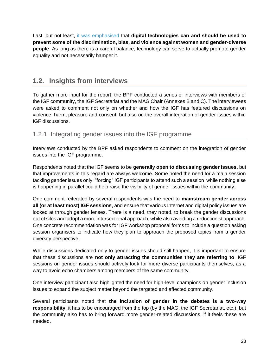Last, but not least, [it was emphasised](https://www.intgovforum.org/multilingual/content/igf-2019-%E2%80%93-day-4-%E2%80%93-convention-hall-i-c-%E2%80%93-of-32-equals-research-open-forum-on-gender-0) that **digital technologies can and should be used to prevent some of the discrimination, bias, and violence against women and gender-diverse people**. As long as there is a careful balance, technology can serve to actually promote gender equality and not necessarily hamper it.

### <span id="page-28-0"></span>**1.2. Insights from interviews**

To gather more input for the report, the BPF conducted a series of interviews with members of the IGF community, the IGF Secretariat and the MAG Chair (Annexes B and C). The interviewees were asked to comment not only on whether and how the IGF has featured discussions on violence, harm, pleasure and consent, but also on the overall integration of gender issues within IGF discussions.

### <span id="page-28-1"></span>1.2.1. Integrating gender issues into the IGF programme

Interviews conducted by the BPF asked respondents to comment on the integration of gender issues into the IGF programme.

Respondents noted that the IGF seems to be **generally open to discussing gender issues**, but that improvements in this regard are always welcome. Some noted the need for a main session tackling gender issues only: "forcing" IGF participants to attend such a session while nothing else is happening in parallel could help raise the visibility of gender issues within the community.

One comment reiterated by several respondents was the need to **mainstream gender across all (or at least most) IGF sessions**, and ensure that various Internet and digital policy issues are looked at through gender lenses. There is a need, they noted, to break the gender discussions out of silos and adopt a more intersectional approach, while also avoiding a reductionist approach. One concrete recommendation was for IGF workshop proposal forms to include a question asking session organisers to indicate how they plan to approach the proposed topics from a gender diversity perspective.

While discussions dedicated only to gender issues should still happen, it is important to ensure that these discussions are **not only attracting the communities they are referring to**. IGF sessions on gender issues should actively look for more diverse participants themselves, as a way to avoid echo chambers among members of the same community.

One interview participant also highlighted the need for high-level champions on gender inclusion issues to expand the subject matter beyond the targeted and affected community.

Several participants noted that **the inclusion of gender in the debates is a two-way responsibility**: it has to be encouraged from the top (by the MAG, the IGF Secretariat, etc.), but the community also has to bring forward more gender-related discussions, if it feels these are needed.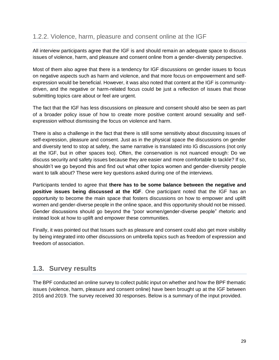<span id="page-29-0"></span>All interview participants agree that the IGF is and should remain an adequate space to discuss issues of violence, harm, and pleasure and consent online from a gender-diversity perspective.

Most of them also agree that there is a tendency for IGF discussions on gender issues to focus on negative aspects such as harm and violence, and that more focus on empowerment and selfexpression would be beneficial. However, it was also noted that content at the IGF is communitydriven, and the negative or harm-related focus could be just a reflection of issues that those submitting topics care about or feel are urgent.

The fact that the IGF has less discussions on pleasure and consent should also be seen as part of a broader policy issue of how to create more positive content around sexuality and selfexpression without dismissing the focus on violence and harm.

There is also a challenge in the fact that there is still some sensitivity about discussing issues of self-expression, pleasure and consent. Just as in the physical space the discussions on gender and diversity tend to stop at safety, the same narrative is translated into IG discussions (not only at the IGF, but in other spaces too). Often, the conservation is not nuanced enough: Do we discuss security and safety issues because they are easier and more comfortable to tackle? If so, shouldn't we go beyond this and find out what other topics women and gender-diversity people want to talk about? These were key questions asked during one of the interviews.

Participants tended to agree that **there has to be some balance between the negative and positive issues being discussed at the IGF**. One participant noted that the IGF has an opportunity to become the main space that fosters discussions on how to empower and uplift women and gender-diverse people in the online space, and this opportunity should not be missed. Gender discussions should go beyond the "poor women/gender-diverse people" rhetoric and instead look at how to uplift and empower these communities.

Finally, it was pointed out that Issues such as pleasure and consent could also get more visibility by being integrated into other discussions on umbrella topics such as freedom of expression and freedom of association.

### <span id="page-29-1"></span>**1.3. Survey results**

The BPF conducted an online survey to collect public input on whether and how the BPF thematic issues (violence, harm, pleasure and consent online) have been brought up at the IGF between 2016 and 2019. The survey received 30 responses. Below is a summary of the input provided.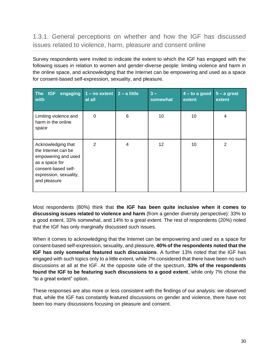<span id="page-30-0"></span>1.3.1. General perceptions on whether and how the IGF has discussed issues related to violence, harm, pleasure and consent online

Survey respondents were invited to indicate the extent to which the IGF has engaged with the following issues in relation to women and gender-diverse people: limiting violence and harm in the online space, and acknowledging that the Internet can be empowering and used as a space for consent-based self-expression, sexuality, and pleasure.

| The<br>engaging<br><b>IGF</b><br>with                                                                                                               | $1 - no$ extent $2 - a$ little<br>at all |   | $3 -$<br>somewhat | $4 -$ to a good<br>extent | $5 - a$ great<br>extent |
|-----------------------------------------------------------------------------------------------------------------------------------------------------|------------------------------------------|---|-------------------|---------------------------|-------------------------|
| Limiting violence and<br>harm in the online<br>space                                                                                                | 0                                        | 6 | 10                | 10                        | 4                       |
| Acknowledging that<br>the Internet can be<br>empowering and used<br>as a space for<br>consent-based self-<br>expression, sexuality,<br>and pleasure | $\overline{2}$                           | 4 | 12                | 10                        | 2                       |

Most respondents (80%) think that **the IGF has been quite inclusive when it comes to discussing issues related to violence and harm** (from a gender diversity perspective): 33% to a good extent, 33% somewhat, and 14% to a great extent. The rest of respondents (20%) noted that the IGF has only marginally discussed such issues.

When it comes to acknowledging that the Internet can be empowering and used as a space for consent-based self-expression, sexuality, and pleasure, **40% of the respondents noted that the IGF has only somewhat featured such discussions**. A further 13% noted that the IGF has engaged with such topics only to a little extent, while 7% considered that there have been no such discussions at all at the IGF. At the opposite side of the spectrum, **33% of the respondents found the IGF to be featuring such discussions to a good extent**, while only 7% chose the "to a great extent" option.

These responses are also more or less consistent with the findings of our analysis: we observed that, while the IGF has constantly featured discussions on gender and violence, there have not been too many discussions focusing on pleasure and consent.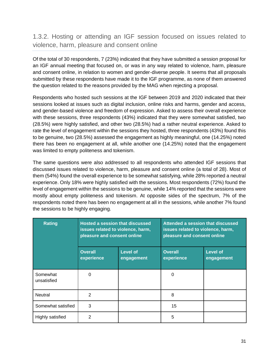### <span id="page-31-0"></span>1.3.2. Hosting or attending an IGF session focused on issues related to violence, harm, pleasure and consent online

Of the total of 30 respondents, 7 (23%) indicated that they have submitted a session proposal for an IGF annual meeting that focused on, or was in any way related to violence, harm, pleasure and consent online, in relation to women and gender-diverse people. It seems that all proposals submitted by these respondents have made it to the IGF programme, as none of them answered the question related to the reasons provided by the MAG when rejecting a proposal.

Respondents who hosted such sessions at the IGF between 2019 and 2020 indicated that their sessions looked at issues such as digital inclusion, online risks and harms, gender and access, and gender-based violence and freedom of expression. Asked to assess their overall experience with these sessions, three respondents (43%) indicated that they were somewhat satisfied, two (28.5%) were highly satisfied, and other two (28.5%) had a rather neutral experience. Asked to rate the level of engagement within the sessions they hosted, three respondents (43%) found this to be genuine, two (28.5%) assessed the engagement as highly meaningful, one (14.25%) noted there has been no engagement at all, while another one (14.25%) noted that the engagement was limited to empty politeness and tokenism.

The same questions were also addressed to all respondents who attended IGF sessions that discussed issues related to violence, harm, pleasure and consent online (a total of 28). Most of them (54%) found the overall experience to be somewhat satisfying, while 28% reported a neutral experience. Only 18% were highly satisfied with the sessions. Most respondents (72%) found the level of engagement within the sessions to be genuine, while 14% reported that the sessions were mostly about empty politeness and tokenism. At opposite sides of the spectrum, 7% of the respondents noted there has been no engagement at all in the sessions, while another 7% found the sessions to be highly engaging.

| <b>Rating</b>           | <b>Hosted a session that discussed</b><br>issues related to violence, harm,<br>pleasure and consent online |                        | Attended a session that discussed<br>issues related to violence, harm,<br>pleasure and consent online |                               |  |
|-------------------------|------------------------------------------------------------------------------------------------------------|------------------------|-------------------------------------------------------------------------------------------------------|-------------------------------|--|
|                         | <b>Overall</b><br>experience                                                                               | Level of<br>engagement | <b>Overall</b><br>experience                                                                          | <b>Level of</b><br>engagement |  |
| Somewhat<br>unsatisfied | <sup>0</sup>                                                                                               |                        | $\Omega$                                                                                              |                               |  |
| Neutral                 | $\mathcal{P}$                                                                                              |                        | 8                                                                                                     |                               |  |
| Somewhat satisfied      | 3                                                                                                          |                        | 15                                                                                                    |                               |  |
| Highly satisfied        | 2                                                                                                          |                        | 5                                                                                                     |                               |  |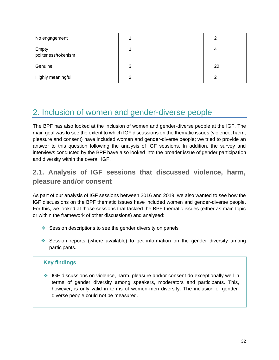| No engagement                |   |    |
|------------------------------|---|----|
| Empty<br>politeness/tokenism |   |    |
| Genuine                      | 3 | 20 |
| Highly meaningful            | 2 |    |

## <span id="page-32-0"></span>2. Inclusion of women and gender-diverse people

The BPF has also looked at the inclusion of women and gender-diverse people at the IGF. The main goal was to see the extent to which IGF discussions on the thematic issues (violence, harm, pleasure and consent) have included women and gender-diverse people; we tried to provide an answer to this question following the analysis of IGF sessions. In addition, the survey and interviews conducted by the BPF have also looked into the broader issue of gender participation and diversity within the overall IGF.

## <span id="page-32-1"></span>**2.1. Analysis of IGF sessions that discussed violence, harm, pleasure and/or consent**

As part of our analysis of IGF sessions between 2016 and 2019, we also wanted to see how the IGF discussions on the BPF thematic issues have included women and gender-diverse people. For this, we looked at those sessions that tackled the BPF thematic issues (either as main topic or within the framework of other discussions) and analysed:

- ❖ Session descriptions to see the gender diversity on panels
- ❖ Session reports (where available) to get information on the gender diversity among participants.

#### **Key findings**

❖ IGF discussions on violence, harm, pleasure and/or consent do exceptionally well in terms of gender diversity among speakers, moderators and participants. This, however, is only valid in terms of women-men diversity. The inclusion of genderdiverse people could not be measured.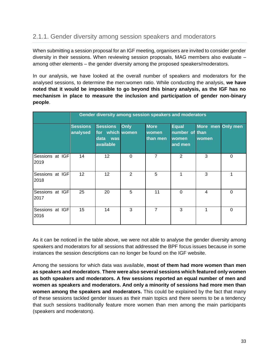### <span id="page-33-0"></span>2.1.1. Gender diversity among session speakers and moderators

When submitting a session proposal for an IGF meeting, organisers are invited to consider gender diversity in their sessions. When reviewing session proposals, MAG members also evaluate – among other elements – the gender diversity among the proposed speakers/moderators.

In our analysis, we have looked at the overall number of speakers and moderators for the analysed sessions, to determine the men:women ratio. While conducting the analysis, **we have noted that it would be impossible to go beyond this binary analysis, as the IGF has no mechanism in place to measure the inclusion and participation of gender non-binary people**.

|                         |                             | Gender diversity among session speakers and moderators         |             |                                         |                                                    |                            |          |
|-------------------------|-----------------------------|----------------------------------------------------------------|-------------|-----------------------------------------|----------------------------------------------------|----------------------------|----------|
|                         | <b>Sessions</b><br>analysed | <b>Sessions</b><br>for which women<br>data<br>was<br>available | <b>Only</b> | <b>More</b><br><b>women</b><br>than men | <b>Equal</b><br>number of than<br>women<br>and men | More men Only men<br>women |          |
| Sessions at IGF<br>2019 | 14                          | 12 <sub>2</sub>                                                | $\Omega$    | 7                                       | 2                                                  | 3                          | $\Omega$ |
| Sessions at IGF<br>2018 | 12 <sup>2</sup>             | 12 <sup>2</sup>                                                | 2           | 5                                       | 1                                                  | 3                          | 1        |
| Sessions at IGF<br>2017 | 25                          | 20                                                             | 5           | 11                                      | $\Omega$                                           | 4                          | 0        |
| Sessions at IGF<br>2016 | 15                          | 14                                                             | 3           | 7                                       | 3                                                  | 1                          | $\Omega$ |

As it can be noticed in the table above, we were not able to analyse the gender diversity among speakers and moderators for all sessions that addressed the BPF focus issues because in some instances the session descriptions can no longer be found on the IGF website.

Among the sessions for which data was available, **most of them had more women than men as speakers and moderators**. **There were also several sessions which featured only women as both speakers and moderators. A few sessions reported an equal number of men and women as speakers and moderators. And only a minority of sessions had more men than women among the speakers and moderators.** This could be explained by the fact that many of these sessions tackled gender issues as their main topics and there seems to be a tendency that such sessions traditionally feature more women than men among the main participants (speakers and moderators).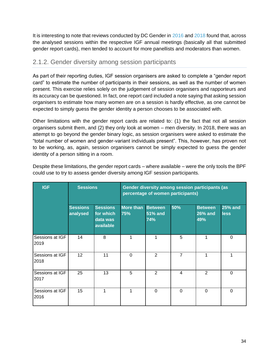It is interesting to note that reviews conducted by DC Gender in [2016](https://www.intgovforum.org/multilingual/index.php?q=filedepot_download/4486/1239) an[d 2018](https://www.intgovforum.org/multilingual/filedepot_download/4486/2050) found that, across the analysed sessions within the respective IGF annual meetings (basically all that submitted gender report cards), men tended to account for more panellists and moderators than women.

### <span id="page-34-0"></span>2.1.2. Gender diversity among session participants

As part of their reporting duties, IGF session organisers are asked to complete a "gender report card" to estimate the number of participants in their sessions, as well as the number of women present. This exercise relies solely on the judgement of session organisers and rapporteurs and its accuracy can be questioned. In fact, one report card included a note saying that asking session organisers to estimate how many women are on a session is hardly effective, as one cannot be expected to simply guess the gender identity a person chooses to be associated with.

Other limitations with the gender report cards are related to: (1) the fact that not all session organisers submit them, and (2) they only look at women – men diversity. In 2018, there was an attempt to go beyond the gender binary logic, as session organisers were asked to estimate the "total number of women and gender-variant individuals present". This, however, has proven not to be working, as, again, session organisers cannot be simply expected to guess the gender identity of a person sitting in a room.

| <b>IGF</b>              | <b>Sessions</b>             |                                                       |                         |                                         | Gender diversity among session participants (as<br>percentage of women participants) |                                         |                               |
|-------------------------|-----------------------------|-------------------------------------------------------|-------------------------|-----------------------------------------|--------------------------------------------------------------------------------------|-----------------------------------------|-------------------------------|
|                         | <b>Sessions</b><br>analysed | <b>Sessions</b><br>for which<br>data was<br>available | <b>More than</b><br>75% | <b>Between</b><br><b>51% and</b><br>74% | 50%                                                                                  | <b>Between</b><br><b>26% and</b><br>49% | <b>25% and</b><br><b>less</b> |
| Sessions at IGF<br>2019 | 14                          | 8                                                     |                         |                                         | 5                                                                                    | 1                                       | 0                             |
| Sessions at IGF<br>2018 | 12                          | 11                                                    | $\Omega$                | 2                                       | $\overline{7}$                                                                       | 1                                       | 1                             |
| Sessions at IGF<br>2017 | 25                          | 13                                                    | 5                       | $\overline{2}$                          | $\overline{4}$                                                                       | $\overline{2}$                          | $\Omega$                      |
| Sessions at IGF<br>2016 | 15                          | 1                                                     | 1                       | $\Omega$                                | $\Omega$                                                                             | $\Omega$                                | $\Omega$                      |

Despite these limitations, the gender report cards – where available – were the only tools the BPF could use to try to assess gender diversity among IGF session participants.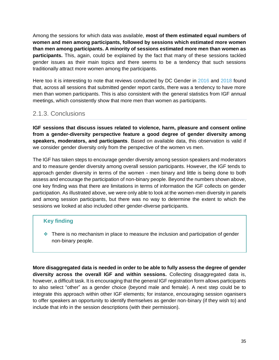Among the sessions for which data was available, **most of them estimated equal numbers of women and men among participants, followed by sessions which estimated more women than men among participants. A minority of sessions estimated more men than women as participants.** This, again, could be explained by the fact that many of these sessions tackled gender issues as their main topics and there seems to be a tendency that such sessions traditionally attract more women among the participants.

Here too it is interesting to note that reviews conducted by DC Gender in [2016](https://www.intgovforum.org/multilingual/index.php?q=filedepot_download/4486/1239) and [2018](https://www.intgovforum.org/multilingual/filedepot_download/4486/2050) found that, across all sessions that submitted gender report cards, there was a tendency to have more men than women participants. This is also consistent with the general statistics from IGF annual meetings, which consistently show that more men than women as participants.

### <span id="page-35-0"></span>2.1.3. Conclusions

**IGF sessions that discuss issues related to violence, harm, pleasure and consent online from a gender-diversity perspective feature a good degree of gender diversity among speakers, moderators, and participants**. Based on available data, this observation is valid if we consider gender diversity only from the perspective of the women vs men.

The IGF has taken steps to encourage gender diversity among session speakers and moderators and to measure gender diversity among overall session participants. However, the IGF tends to approach gender diversity in terms of the women - men binary and little is being done to both assess and encourage the participation of non-binary people. Beyond the numbers shown above, one key finding was that there are limitations in terms of information the IGF collects on gender participation. As illustrated above, we were only able to look at the women-men diversity in panels and among session participants, but there was no way to determine the extent to which the sessions we looked at also included other gender-diverse participants.

#### **Key finding**

❖ There is no mechanism in place to measure the inclusion and participation of gender non-binary people.

**More disaggregated data is needed in order to be able to fully assess the degree of gender diversity across the overall IGF and within sessions.** Collecting disaggregated data is, however, a difficult task. It is encouraging that the general IGF registration form allows participants to also select "other" as a gender choice (beyond male and female). A next step could be to integrate this approach within other IGF elements; for instance, encouraging session oganisers to offer speakers an opportunity to identify themselves as gender non-binary (if they wish to) and include that info in the session descriptions (with their permission).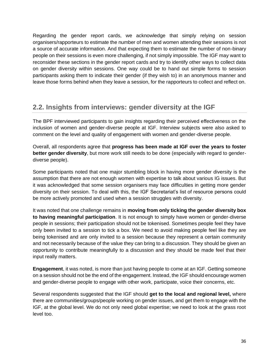Regarding the gender report cards, we acknowledge that simply relying on session organisers/rapporteurs to estimate the number of men and women attending their sessions is not a source of accurate information. And that expecting them to estimate the number of non-binary people on their sessions is even more challenging, if not simply impossible. The IGF may want to reconsider these sections in the gender report cards and try to identify other ways to collect data on gender diversity within sessions. One way could be to hand out simple forms to session participants asking them to indicate their gender (if they wish to) in an anonymous manner and leave those forms behind when they leave a session, for the rapporteurs to collect and reflect on.

### <span id="page-36-0"></span>**2.2. Insights from interviews: gender diversity at the IGF**

The BPF interviewed participants to gain insights regarding their perceived effectiveness on the inclusion of women and gender-diverse people at IGF. Interview subjects were also asked to comment on the level and quality of engagement with women and gender-diverse people.

Overall, all respondents agree that **progress has been made at IGF over the years to foster better gender diversity**, but more work still needs to be done (especially with regard to genderdiverse people).

Some participants noted that one major stumbling block in having more gender diversity is the assumption that there are not enough women with expertise to talk about various IG issues. But it was acknowledged that some session organisers may face difficulties in getting more gender diversity on their session. To deal with this, the IGF Secretariat's list of resource persons could be more actively promoted and used when a session struggles with diversity.

It was noted that one challenge remains in **moving from only ticking the gender diversity box to having meaningful participation**. It is not enough to simply have women or gender-diverse people in sessions; their participation should not be tokenised. Sometimes people feel they have only been invited to a session to tick a box. We need to avoid making people feel like they are being tokenised and are only invited to a session because they represent a certain community and not necessarily because of the value they can bring to a discussion. They should be given an opportunity to contribute meaningfully to a discussion and they should be made feel that their input really matters.

**Engagement**, it was noted, is more than just having people to come at an IGF. Getting someone on a session should not be the end of the engagement. Instead, the IGF should encourage women and gender-diverse people to engage with other work, participate, voice their concerns, etc.

Several respondents suggested that the IGF should **get to the local and regional level,** where there are communities/groups/people working on gender issues, and get them to engage with the IGF, at the global level. We do not only need global expertise; we need to look at the grass root level too.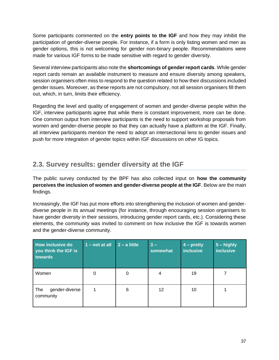Some participants commented on the **entry points to the IGF** and how they may inhibit the participation of gender-diverse people. For instance, if a form is only listing women and men as gender options, this is not welcoming for gender non-binary people. Recommendations were made for various IGF forms to be made sensitive with regard to gender diversity.

Several interview participants also note the **shortcomings of gender report cards**. While gender report cards remain an available instrument to measure and ensure diversity among speakers, session organisers often miss to respond to the question related to how their discussions included gender issues. Moreover, as these reports are not compulsory, not all session organisers fill them out, which, in turn, limits their efficiency.

Regarding the level and quality of engagement of women and gender-diverse people within the IGF, interview participants agree that while there is constant improvement, more can be done. One common output from interview participants is the need to support workshop proposals from women and gender-diverse people so that they can actually have a platform at the IGF. Finally, all interview participants mention the need to adopt an intersectional lens to gender issues and push for more integration of gender topics within IGF discussions on other IG topics.

### <span id="page-37-0"></span>**2.3. Survey results: gender diversity at the IGF**

The public survey conducted by the BPF has also collected input on **how the community perceives the inclusion of women and gender-diverse people at the IGF**. Below are the main findings.

Increasingly, the IGF has put more efforts into strengthening the inclusion of women and genderdiverse people in its annual meetings (for instance, through encouraging session organisers to have gender diversity in their sessions, introducing gender report cards, etc.). Considering these elements, the community was invited to comment on how inclusive the IGF is towards women and the gender-diverse community.

| <b>How inclusive do</b><br>you think the IGF is<br>towards | $1 - not at all$ | $2 - a$ little | $3 -$<br>somewhat | $4$ – pretty<br><b>inclusive</b> | $5 -$ highly<br><b>inclusive</b> |
|------------------------------------------------------------|------------------|----------------|-------------------|----------------------------------|----------------------------------|
| Women                                                      | 0                | 0              | 4                 | 19                               |                                  |
| gender-diverse<br>The<br>community                         |                  | 6              | 12                | 10                               |                                  |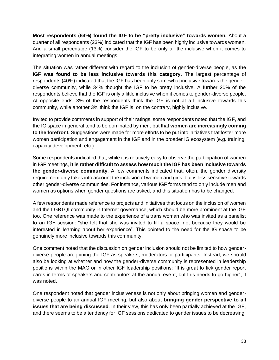**Most respondents (64%) found the IGF to be "pretty inclusive" towards women.** About a quarter of all respondents (23%) indicated that the IGF has been highly inclusive towards women. And a small percentage (13%) consider the IGF to be only a little inclusive when it comes to integrating women in annual meetings.

The situation was rather different with regard to the inclusion of gender-diverse people, as t**he IGF was found to be less inclusive towards this category**. The largest percentage of respondents (40%) indicated that the IGF has been only somewhat inclusive towards the genderdiverse community, while 34% thought the IGF to be pretty inclusive. A further 20% of the respondents believe that the IGF is only a little inclusive when it comes to gender-diverse people. At opposite ends, 3% of the respondents think the IGF is not at all inclusive towards this community, while another 3% think the IGF is, on the contrary, highly inclusive.

Invited to provide comments in support of their ratings, some respondents noted that the IGF, and the IG space in general tend to be dominated by men, but that **women are increasingly coming to the forefront.** Suggestions were made for more efforts to be put into initiatives that foster more women participation and engagement in the IGF and in the broader IG ecosystem (e.g. training, capacity development, etc.).

Some respondents indicated that, while it is relatively easy to observe the participation of women in IGF meetings, **it is rather difficult to assess how much the IGF has been inclusive towards the gender-diverse community**. A few comments indicated that, often, the gender diversity requirement only takes into account the inclusion of women and girls, but is less sensitive towards other gender-diverse communities. For instance, various IGF forms tend to only include men and women as options when gender questions are asked, and this situation has to be changed.

A few respondents made reference to projects and initiatives that focus on the inclusion of women and the LGBTQI community in Internet governance, which should be more prominent at the IGF too. One reference was made to the experience of a trans woman who was invited as a panelist to an IGF session: "she felt that she was invited to fill a space, not because they would be interested in learning about her experience". This pointed to the need for the IG space to be genuinely more inclusive towards this community.

One comment noted that the discussion on gender inclusion should not be limited to how genderdiverse people are joining the IGF as speakers, moderators or participants. Instead, we should also be looking at whether and how the gender-diverse community is represented in leadership positions within the MAG or in other IGF leadership positions: "It is great to tick gender report cards in terms of speakers and contributors at the annual event, but this needs to go higher", it was noted.

One respondent noted that gender inclusiveness is not only about bringing women and genderdiverse people to an annual IGF meeting, but also about **bringing gender perspective to all issues that are being discussed**. In their view, this has only been partially achieved at the IGF, and there seems to be a tendency for IGF sessions dedicated to gender issues to be decreasing.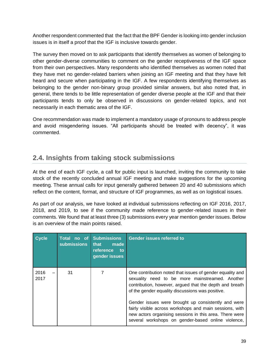Another respondent commented that the fact that the BPF Gender is looking into gender inclusion issues is in itself a proof that the IGF is inclusive towards gender.

The survey then moved on to ask participants that identify themselves as women of belonging to other gender-diverse communities to comment on the gender receptiveness of the IGF space from their own perspectives. Many respondents who identified themselves as women noted that they have met no gender-related barriers when joining an IGF meeting and that they have felt heard and secure when participating in the IGF. A few respondents identifying themselves as belonging to the gender non-binary group provided similar answers, but also noted that, in general, there tends to be little representation of gender diverse people at the IGF and that their participants tends to only be observed in discussions on gender-related topics, and not necessarily in each thematic area of the IGF.

One recommendation was made to implement a mandatory usage of pronouns to address people and avoid misgendering issues. "All participants should be treated with decency", it was commented.

## <span id="page-39-0"></span>**2.4. Insights from taking stock submissions**

At the end of each IGF cycle, a call for public input is launched, inviting the community to take stock of the recently concluded annual IGF meeting and make suggestions for the upcoming meeting. These annual calls for input generally gathered between 20 and 40 submissions which reflect on the content, format, and structure of IGF programmes, as well as on logistical issues.

As part of our analysis, we have looked at individual submissions reflecting on IGF 2016, 2017, 2018, and 2019, to see if the community made reference to gender-related issues in their comments. We found that at least three (3) submissions every year mention gender issues. Below is an overview of the main points raised.

| <b>Cycle</b> | no of<br>Total<br><b>submissions</b> | <b>Submissions</b><br>made<br>that<br>reference<br>to<br>gender issues | <b>Gender issues referred to</b>                                                                                                                                                                                                |
|--------------|--------------------------------------|------------------------------------------------------------------------|---------------------------------------------------------------------------------------------------------------------------------------------------------------------------------------------------------------------------------|
| 2016<br>2017 | 31                                   |                                                                        | One contribution noted that issues of gender equality and<br>sexuality need to be more mainstreamed. Another<br>contribution, however, argued that the depth and breath<br>of the gender equality discussions was positive.     |
|              |                                      |                                                                        | Gender issues were brought up consistently and were<br>fairly visible across workshops and main sessions, with<br>new actors organising sessions in this area. There were<br>several workshops on gender-based online violence, |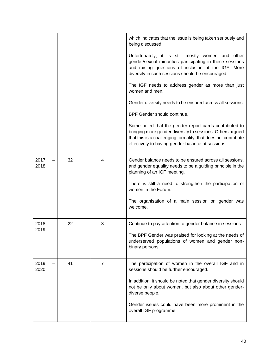|              |    |   | which indicates that the issue is being taken seriously and<br>being discussed.                                                                                                                                                            |
|--------------|----|---|--------------------------------------------------------------------------------------------------------------------------------------------------------------------------------------------------------------------------------------------|
|              |    |   | Unfortunately, it is still mostly women and other<br>gender/sexual minorities participating in these sessions<br>and raising questions of inclusion at the IGF. More<br>diversity in such sessions should be encouraged.                   |
|              |    |   | The IGF needs to address gender as more than just<br>women and men.                                                                                                                                                                        |
|              |    |   | Gender diversity needs to be ensured across all sessions.                                                                                                                                                                                  |
|              |    |   | BPF Gender should continue.                                                                                                                                                                                                                |
|              |    |   | Some noted that the gender report cards contributed to<br>bringing more gender diversity to sessions. Others argued<br>that this is a challenging formality, that does not contribute<br>effectively to having gender balance at sessions. |
| 2017<br>2018 | 32 | 4 | Gender balance needs to be ensured across all sessions,<br>and gender equality needs to be a guiding principle in the<br>planning of an IGF meeting.                                                                                       |
|              |    |   | There is still a need to strengthen the participation of<br>women in the Forum.                                                                                                                                                            |
|              |    |   | The organisation of a main session on gender was<br>welcome.                                                                                                                                                                               |
| 2018         | 22 | 3 | Continue to pay attention to gender balance in sessions.                                                                                                                                                                                   |
| 2019         |    |   | The BPF Gender was praised for looking at the needs of<br>underserved populations of women and gender non-<br>binary persons.                                                                                                              |
| 2019<br>2020 | 41 | 7 | The participation of women in the overall IGF and in<br>sessions should be further encouraged.                                                                                                                                             |
|              |    |   | In addition, it should be noted that gender diversity should<br>not be only about women, but also about other gender-<br>diverse people.                                                                                                   |
|              |    |   | Gender issues could have been more prominent in the<br>overall IGF programme.                                                                                                                                                              |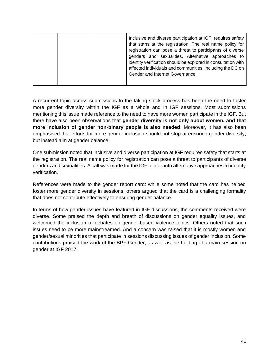| Inclusive and diverse participation at IGF, requires safety<br>that starts at the registration. The real name policy for<br>registration can pose a threat to participants of diverse<br>genders and sexualities. Alternative approaches to<br>identity verification should be explored in consultation with<br>affected individuals and communities, including the DC on<br>Gender and Internet Governance. |
|--------------------------------------------------------------------------------------------------------------------------------------------------------------------------------------------------------------------------------------------------------------------------------------------------------------------------------------------------------------------------------------------------------------|
|--------------------------------------------------------------------------------------------------------------------------------------------------------------------------------------------------------------------------------------------------------------------------------------------------------------------------------------------------------------------------------------------------------------|

A recurrent topic across submissions to the taking stock process has been the need to foster more gender diversity within the IGF as a whole and in IGF sessions. Most submissions mentioning this issue made reference to the need to have more women participate in the IGF. But there have also been observations that **gender diversity is not only about women, and that more inclusion of gender non-binary people is also needed**. Moreover, it has also been emphasised that efforts for more gender inclusion should not stop at ensuring gender diversity, but instead aim at gender balance.

One submission noted that inclusive and diverse participation at IGF requires safety that starts at the registration. The real name policy for registration can pose a threat to participants of diverse genders and sexualities. A call was made for the IGF to look into alternative approaches to identity verification.

References were made to the gender report card: while some noted that the card has helped foster more gender diversity in sessions, others argued that the card is a challenging formality that does not contribute effectively to ensuring gender balance.

In terms of how gender issues have featured in IGF discussions, the comments received were diverse. Some praised the depth and breath of discussions on gender equality issues, and welcomed the inclusion of debates on gender-based violence topics. Others noted that such issues need to be more mainstreamed. And a concern was raised that it is mostly women and gender/sexual minorities that participate in sessions discussing issues of gender inclusion. Some contributions praised the work of the BPF Gender, as well as the holding of a main session on gender at IGF 2017.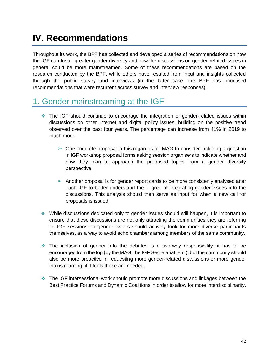# <span id="page-42-0"></span>**IV. Recommendations**

Throughout its work, the BPF has collected and developed a series of recommendations on how the IGF can foster greater gender diversity and how the discussions on gender-related issues in general could be more mainstreamed. Some of these recommendations are based on the research conducted by the BPF, while others have resulted from input and insights collected through the public survey and interviews (in the latter case, the BPF has prioritised recommendations that were recurrent across survey and interview responses).

## <span id="page-42-1"></span>1. Gender mainstreaming at the IGF

- ❖ The IGF should continue to encourage the integration of gender-related issues within discussions on other Internet and digital policy issues, building on the positive trend observed over the past four years. The percentage can increase from 41% in 2019 to much more.
	- $\triangleright$  One concrete proposal in this regard is for MAG to consider including a question in IGF workshop proposal forms asking session organisers to indicate whether and how they plan to approach the proposed topics from a gender diversity perspective.
	- $\triangleright$  Another proposal is for gender report cards to be more consistenly analysed after each IGF to better understand the degree of integrating gender issues into the discussions. This analysis should then serve as input for when a new call for proposals is issued.
- ❖ While discussions dedicated only to gender issues should still happen, it is important to ensure that these discussions are not only attracting the communities they are referring to. IGF sessions on gender issues should actively look for more diverse participants themselves, as a way to avoid echo chambers among members of the same community.
- ❖ The inclusion of gender into the debates is a two-way responsibility: it has to be encouraged from the top (by the MAG, the IGF Secretariat, etc.), but the community should also be more proactive in requesting more gender-related discussions or more gender mainstreaming, if it feels these are needed.
- ❖ The IGF intersessional work should promote more discussions and linkages between the Best Practice Forums and Dynamic Coalitions in order to allow for more interdisciplinarity.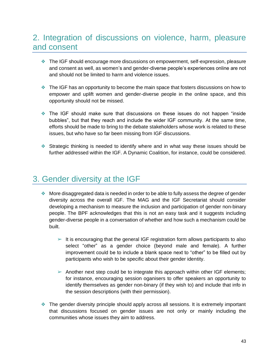## <span id="page-43-0"></span>2. Integration of discussions on violence, harm, pleasure and consent

- ❖ The IGF should encourage more discussions on empowerment, self-expression, pleasure and consent as well, as women's and gender-diverse people's experiences online are not and should not be limited to harm and violence issues.
- ❖ The IGF has an opportunity to become the main space that fosters discussions on how to empower and uplift women and gender-diverse people in the online space, and this opportunity should not be missed.
- ❖ The IGF should make sure that discussions on these issues do not happen "inside bubbles", but that they reach and include the wider IGF community. At the same time, efforts should be made to bring to the debate stakeholders whose work is related to these issues, but who have so far been missing from IGF discussions.
- ❖ Strategic thinking is needed to identify where and in what way these issues should be further addressed within the IGF. A Dynamic Coalition, for instance, could be considered.

## <span id="page-43-1"></span>3. Gender diversity at the IGF

- ❖ More disaggregated data is needed in order to be able to fully assess the degree of gender diversity across the overall IGF. The MAG and the IGF Secretariat should consider developing a mechanism to measure the inclusion and participation of gender non-binary people. The BPF acknowledges that this is not an easy task and it suggests including gender-diverse people in a conversation of whether and how such a mechanism could be built.
	- $\triangleright$  It is encouraging that the general IGF registration form allows participants to also select "other" as a gender choice (beyond male and female). A further improvement could be to include a blank space next to "other" to be filled out by participants who wish to be specific about their gender identity.
	- $\triangleright$  Another next step could be to integrate this approach within other IGF elements; for instance, encouraging session oganisers to offer speakers an opportunity to identify themselves as gender non-binary (if they wish to) and include that info in the session descriptions (with their permission).
- ❖ The gender diversity principle should apply across all sessions. It is extremely important that discussions focused on gender issues are not only or mainly including the communities whose issues they aim to address.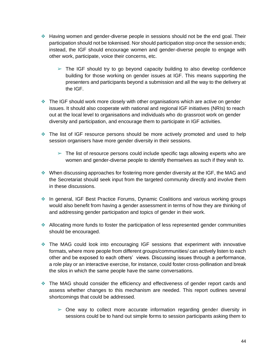- ❖ Having women and gender-diverse people in sessions should not be the end goal. Their participation should not be tokenised. Nor should participation stop once the session ends; instead, the IGF should encourage women and gender-diverse people to engage with other work, participate, voice their concerns, etc.
	- $\triangleright$  The IGF should try to go beyond capacity building to also develop confidence building for those working on gender issues at IGF. This means supporting the presenters and participants beyond a submission and all the way to the delivery at the IGF.
- ❖ The IGF should work more closely with other organisations which are active on gender issues. It should also cooperate with national and regional IGF initiatives (NRIs) to reach out at the local level to organisations and individuals who do grassroot work on gender diversity and participation, and encourage them to participate in IGF activities.
- ❖ The list of IGF resource persons should be more actively promoted and used to help session organisers have more gender diversity in their sessions.
	- $\triangleright$  The list of resource persons could include specific tags allowing experts who are women and gender-diverse people to identify themselves as such if they wish to.
- ❖ When discussing approaches for fostering more gender diversity at the IGF, the MAG and the Secretariat should seek input from the targeted community directly and involve them in these discussions.
- ❖ In general, IGF Best Practice Forums, Dynamic Coalitions and various working groups would also benefit from having a gender assessment in terms of how they are thinking of and addressing gender participation and topics of gender in their work.
- ❖ Allocating more funds to foster the participation of less represented gender communities should be encouraged.
- ❖ The MAG could look into encouraging IGF sessions that experiment with innovative formats, where more people from different groups/communities/ can actively listen to each other and be exposed to each others' views. Discussing issues through a performance, a role play or an interactive exercise, for instance, could foster cross-pollination and break the silos in which the same people have the same conversations.
- ❖ The MAG should consider the efficiency and effectiveness of gender report cards and assess whether changes to this mechanism are needed. This report outlines several shortcomings that could be addressed.
	- $\geq$  One way to collect more accurate information regarding gender diversity in sessions could be to hand out simple forms to session participants asking them to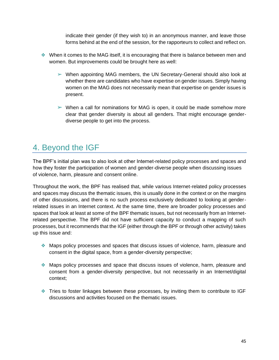indicate their gender (if they wish to) in an anonymous manner, and leave those forms behind at the end of the session, for the rapporteurs to collect and reflect on.

- ❖ When it comes to the MAG itself, it is encouraging that there is balance between men and women. But improvements could be brought here as well:
	- $\triangleright$  When appointing MAG members, the UN Secretary-General should also look at whether there are candidates who have expertise on gender issues. Simply having women on the MAG does not necessarily mean that expertise on gender issues is present.
	- $\triangleright$  When a call for nominations for MAG is open, it could be made somehow more clear that gender diversity is about all genders. That might encourage genderdiverse people to get into the process.

## <span id="page-45-0"></span>4. Beyond the IGF

The BPF's initial plan was to also look at other Internet-related policy processes and spaces and how they foster the participation of women and gender-diverse people when discussing issues of violence, harm, pleasure and consent online.

Throughout the work, the BPF has realised that, while various Internet-related policy processes and spaces may discuss the thematic issues, this is usually done in the context or on the margins of other discussions, and there is no such process exclusively dedicated to looking at genderrelated issues in an Internet context. At the same time, there are broader policy processes and spaces that look at least at some of the BPF thematic issues, but not necessarily from an Internetrelated perspective. The BPF did not have sufficient capacity to conduct a mapping of such processes, but it recommends that the IGF (either through the BPF or through other activity) takes up this issue and:

- ❖ Maps policy processes and spaces that discuss issues of violence, harm, pleasure and consent in the digital space, from a gender-diversity perspective;
- ❖ Maps policy processes and space that discuss issues of violence, harm, pleasure and consent from a gender-diversity perspective, but not necessarily in an Internet/digital context;
- ❖ Tries to foster linkages between these processes, by inviting them to contribute to IGF discussions and activities focused on the thematic issues.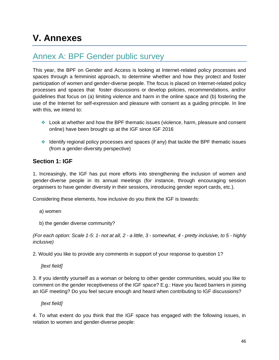# <span id="page-46-0"></span>**V. Annexes**

## <span id="page-46-1"></span>Annex A: BPF Gender public survey

This year, the BPF on Gender and Access is looking at Internet-related policy processes and spaces through a femminist approach, to determine whether and how they protect and foster participation of women and gender-diverse people. The focus is placed on Internet-related policy processes and spaces that foster discussions or develop policies, recommendations, and/or guidelines that focus on (a) limiting violence and harm in the online space and (b) fostering the use of the Internet for self-expression and pleasure with consent as a guiding principle. In line with this, we intend to:

- ❖ Look at whether and how the BPF thematic issues (violence, harm, pleasure and consent online) have been brought up at the IGF since IGF 2016
- ❖ Identify regional policy processes and spaces (if any) that tackle the BPF thematic issues (from a gender-diversity perspective)

### **Section 1: IGF**

1. Increasingly, the IGF has put more efforts into strengthening the inclusion of women and gender-diverse people in its annual meetings (for instance, through encouraging session organisers to have gender diversity in their sessions, introducing gender report cards, etc.).

Considering these elements, how inclusive do you think the IGF is towards:

- a) women
- b) the gender diverse community?

*(For each option: Scale 1-5: 1- not at all, 2 - a little, 3 - somewhat, 4 - pretty inclusive, to 5 - highly inclusive)*

2. Would you like to provide any comments in support of your response to question 1?

*[text field]*

3. If you identify yourself as a woman or belong to other gender communities, would you like to comment on the gender receptiveness of the IGF space? E.g.: Have you faced barriers in joining an IGF meeting? Do you feel secure enough and heard when contributing to IGF discussions?

*[text field]*

4. To what extent do you think that the IGF space has engaged with the following issues, in relation to women and gender-diverse people: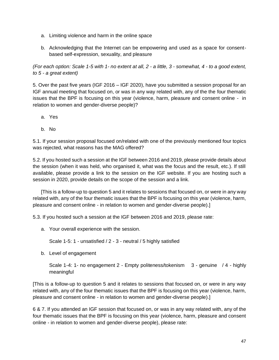- a. Limiting violence and harm in the online space
- b. Acknowledging that the Internet can be empowering and used as a space for consentbased self-expression, sexuality, and pleasure

*(For each option: Scale 1-5 with 1- no extent at all, 2 - a little, 3 - somewhat, 4 - to a good extent, to 5 - a great extent)*

5. Over the past five years (IGF 2016 – IGF 2020), have you submitted a session proposal for an IGF annual meeting that focused on, or was in any way related with, any of the the four thematic issues that the BPF is focusing on this year (violence, harm, pleasure and consent online - in relation to women and gender-diverse people)?

- a. Yes
- b. No

5.1. If your session proposal focused on/related with one of the previously mentioned four topics was rejected, what reasons has the MAG offered?

5.2. If you hosted such a session at the IGF between 2016 and 2019, please provide details about the session (when it was held, who organised it, what was the focus and the result, etc.). If still available, please provide a link to the session on the IGF website. If you are hosting such a session in 2020, provide details on the scope of the session and a link.

[This is a follow-up to question 5 and it relates to sessions that focused on, or were in any way related with, any of the four thematic issues that the BPF is focusing on this year (violence, harm, pleasure and consent online - in relation to women and gender-diverse people).]

5.3. If you hosted such a session at the IGF between 2016 and 2019, please rate:

a. Your overall experience with the session.

Scale 1-5: 1 - unsatisfied / 2 - 3 - neutral / 5 highly satisfied

b. Level of engagement

Scale 1-4: 1- no engagement 2 - Empty politeness/tokenism 3 - genuine / 4 - highly meaningful

[This is a follow-up to question 5 and it relates to sessions that focused on, or were in any way related with, any of the four thematic issues that the BPF is focusing on this year (violence, harm, pleasure and consent online - in relation to women and gender-diverse people).]

6 & 7. If you attended an IGF session that focused on, or was in any way related with, any of the four thematic issues that the BPF is focusing on this year (violence, harm, pleasure and consent online - in relation to women and gender-diverse people), please rate: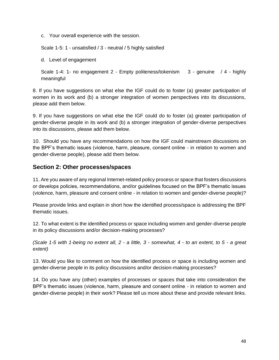c. Your overall experience with the session.

Scale 1-5: 1 - unsatisfied / 3 - neutral / 5 highly satisfied

d. Level of engagement

Scale 1-4: 1- no engagement 2 - Empty politeness/tokenism 3 - genuine / 4 - highly meaningful

8. If you have suggestions on what else the IGF could do to foster (a) greater participation of women in its work and (b) a stronger integration of women perspectives into its discussions, please add them below.

9. If you have suggestions on what else the IGF could do to foster (a) greater participation of gender-diverse people in its work and (b) a stronger integration of gender-diverse perspectives into its discussions, please add them below.

10. Should you have any recommendations on how the IGF could mainstream discussions on the BPF's thematic issues (violence, harm, pleasure, consent online - in relation to women and gender-diverse people), please add them below.

#### **Section 2: Other processes/spaces**

11. Are you aware of any regional Internet-related policy process or space that fosters discussions or develops policies, recommendations, and/or guidelines focused on the BPF's thematic issues (violence, harm, pleasure and consent online - in relation to women and gender-diverse people)?

Please provide links and explain in short how the identified process/space is addressing the BPF thematic issues.

12. To what extent is the identified process or space including women and gender-diverse people in its policy discussions and/or decision-making processes?

*(Scale 1-5 with 1-being no extent all, 2 - a little, 3 - somewhat, 4 - to an extent, to 5 - a great extent)*

13. Would you like to comment on how the identified process or space is including women and gender-diverse people in its policy discussions and/or decision-making processes?

14. Do you have any (other) examples of processes or spaces that take into consideration the BPF's thematic issues (violence, harm, pleasure and consent online - in relation to women and gender-diverse people) in their work? Please tell us more about these and provide relevant links.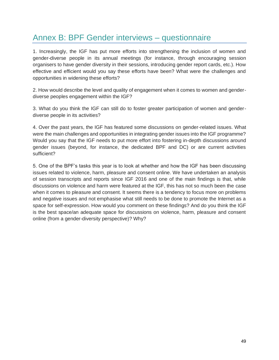## <span id="page-49-0"></span>Annex B: BPF Gender interviews – questionnaire

1. Increasingly, the IGF has put more efforts into strengthening the inclusion of women and gender-diverse people in its annual meetings (for instance, through encouraging session organisers to have gender diversity in their sessions, introducing gender report cards, etc.). How effective and efficient would you say these efforts have been? What were the challenges and opportunities in widening these efforts?

2. How would describe the level and quality of engagement when it comes to women and genderdiverse peoples engagement within the IGF?

3. What do you think the IGF can still do to foster greater participation of women and genderdiverse people in its activities?

4. Over the past years, the IGF has featured some discussions on gender-related issues. What were the main challenges and opportunities in integrating gender issues into the IGF programme? Would you say that the IGF needs to put more effort into fostering in-depth discussions around gender issues (beyond, for instance, the dedicated BPF and DC) or are current activities sufficient?

5. One of the BPF's tasks this year is to look at whether and how the IGF has been discussing issues related to violence, harm, pleasure and consent online. We have undertaken an analysis of session transcripts and reports since IGF 2016 and one of the main findings is that, while discussions on violence and harm were featured at the IGF, this has not so much been the case when it comes to pleasure and consent. It seems there is a tendency to focus more on problems and negative issues and not emphasise what still needs to be done to promote the Internet as a space for self-expression. How would you comment on these findings? And do you think the IGF is the best space/an adequate space for discussions on violence, harm, pleasure and consent online (from a gender-diversity perspective)? Why?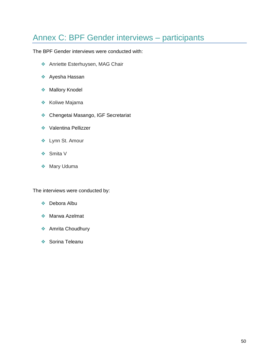## <span id="page-50-0"></span>Annex C: BPF Gender interviews – participants

The BPF Gender interviews were conducted with:

- ❖ Anriette Esterhuysen, MAG Chair
- ❖ Ayesha Hassan
- ❖ Mallory Knodel
- ❖ Koliwe Majama
- ❖ Chengetai Masango, IGF Secretariat
- ❖ Valentina Pellizzer
- ❖ Lynn St. Amour
- ❖ Smita V
- ❖ Mary Uduma

The interviews were conducted by:

- ❖ Debora Albu
- ❖ Marwa Azelmat
- ❖ Amrita Choudhury
- ❖ Sorina Teleanu